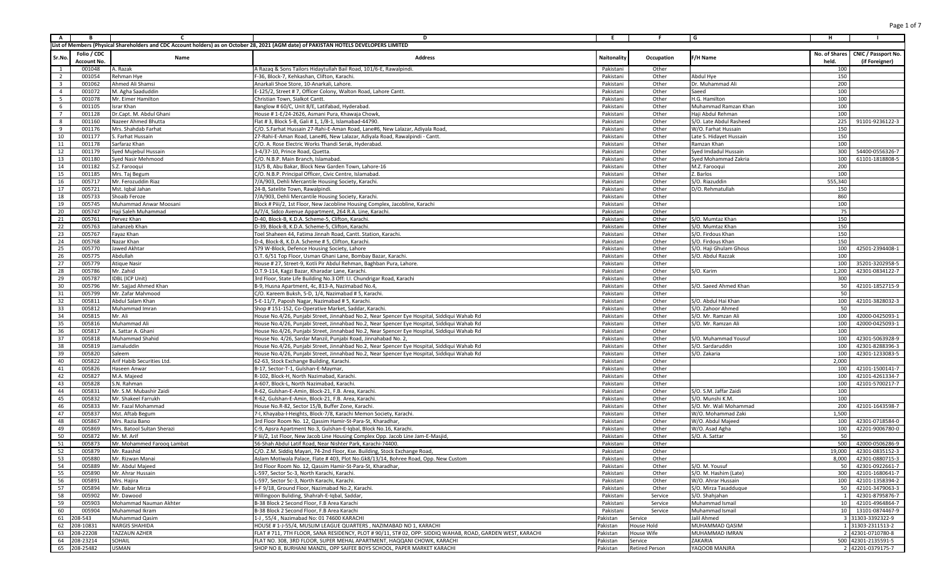| $\overline{A}$          | B                          | <b>C</b>                                        | D                                                                                                                                                                                    | E                      | F.                    | l G                                       | H            |                                                       |
|-------------------------|----------------------------|-------------------------------------------------|--------------------------------------------------------------------------------------------------------------------------------------------------------------------------------------|------------------------|-----------------------|-------------------------------------------|--------------|-------------------------------------------------------|
|                         |                            |                                                 | List of Members (Physical Shareholders and CDC Account holders) as on October 28, 2021 (AGM date) of PAKISTAN HOTELS DEVELOPERS LIMITED                                              |                        |                       |                                           |              |                                                       |
| Sr.No                   | Folio / CDC<br>Account No. | Name                                            | <b>Address</b>                                                                                                                                                                       | Naitonality            | Occupation            | F/H Name                                  | held.        | No. of Shares   CNIC / Passport No.<br>(if Foreigner) |
| $\overline{1}$          | 001048                     | A. Razak                                        | A Razaq & Sons Tailors Hidaytullah Bail Road, 101/6-E, Rawalpindi.                                                                                                                   | Pakistan               | Other                 |                                           | 100          |                                                       |
| $\overline{2}$          | 001054                     | Rehman Hye                                      | F-36, Block-7, Kehkashan, Clifton, Karachi.                                                                                                                                          | Pakistani              | Other                 | Abdul Hye                                 | 150          |                                                       |
| $\overline{\mathbf{3}}$ | 001062                     | Ahmed Ali Shamsi                                | Anarkali Shoe Store, 10-Anarkali, Lahore.                                                                                                                                            | Pakistan               | Other                 | Dr. Muhammad Ali                          | 200          |                                                       |
| $\overline{4}$          | 001072                     | M. Agha Saaduddin                               | E-125/2, Street # 7, Officer Colony, Walton Road, Lahore Cantt.                                                                                                                      | Pakistan               | Other                 | Saeed                                     | 100          |                                                       |
| 5 <sup>5</sup>          | 001078                     | Mr. Eimer Hamilton                              | Christian Town, Sialkot Cantt.                                                                                                                                                       | Pakistan               | Other                 | H.G. Hamilton                             | 100          |                                                       |
| 6<br>$\overline{7}$     | 001105<br>001128           | Israr Khan<br>Dr.Capt. M. Abdul Ghan            | Banglow #60/C, Unit 8/E, Latifabad, Hyderabad<br>House # 1-E/24-2626, Asmani Pura, Khawaja Chowk,                                                                                    | Pakistan<br>Pakistan   | Other<br>Other        | Muhammad Ramzan Khan<br>Haji Abdul Rehman | 100<br>100   |                                                       |
| 8                       | 001160                     | Nazeer Ahmed Bhutta                             | Flat # 3, Block 5-B, Gali # 1, 1/8-1, Islamabad-44790                                                                                                                                | Pakistan               | Other                 | S/O. Late Abdul Rasheed                   | 225          | 91101-9236122-3                                       |
| 9                       | 001176                     | Mrs. Shahdab Farhat                             | C/O. S.Farhat Hussain 27-Rahi-E-Aman Road, Lane#6, New Lalazar, Adiyala Road                                                                                                         | Pakistan               | Other                 | W/O. Farhat Hussair                       | 150          |                                                       |
| 10                      | 001177                     | S. Farhat Hussain                               | 27-Rahi-E-Aman Road, Lane#6, New Lalazar, Adiyala Road, Rawalpindi - Cantt.                                                                                                          | Pakistan               | Other                 | Late S. Hidayet Hussain                   | 150          |                                                       |
| 11                      | 001178                     | Sarfaraz Khan                                   | C/O. A. Rose Electric Works Thandi Serak, Hyderabad                                                                                                                                  | Pakistan               | Other                 | Ramzan Khan                               | 100          |                                                       |
| 12                      | 001179                     | Syed Mujebul Hussain                            | 3-4/37-10, Prince Road, Quetta.                                                                                                                                                      | Pakistan               | Other                 | Syed Imdadul Hussain                      | 300          | 54400-0556326-7                                       |
| 13                      | 001180                     | Syed Nasir Mehmood                              | C/O. N.B.P. Main Branch, Islamabad                                                                                                                                                   | Pakistan               | Other                 | Syed Mohammad Zakria                      | 100          | 61101-1818808-5                                       |
| 14                      | 001182                     | S.Z. Farooqui                                   | 31/5 B. Abu Bakar, Block New Garden Town, Lahore-16                                                                                                                                  | Pakistan               | Other                 | M.Z. Farooqui                             | 200          |                                                       |
| 15                      | 001185                     | Mrs. Taj Begum                                  | C/O. N.B.P. Principal Officer, Civic Centre, Islamabad                                                                                                                               | Pakistan               | Other                 | Z. Barlos                                 | 100          |                                                       |
| 16                      | 005717                     | Mr. Ferozuddin Riaz                             | 7/A/903, Dehli Mercantile Housing Society, Karachi                                                                                                                                   | Pakistan               | Other                 | S/O. Riazuddin                            | 555,340      |                                                       |
| 17<br>18                | 005721<br>005733           | Mst. Igbal Jahan<br>Shoaib Feroze               | 24-B, Satelite Town, Rawalpindi.<br>7/A/903, Dehli Mercantile Housing Society, Karachi.                                                                                              | Pakistan<br>Pakistan   | Other<br>Other        | D/O. Rehmatullah                          | 150<br>860   |                                                       |
| 19                      | 005745                     | Muhammad Anwar Moosani                          | Block # Piii/2, 1st Floor, New Jacobline Housing Complex, Jacobline, Karachi                                                                                                         | Pakistan               | Other                 |                                           | 100          |                                                       |
| 20                      | 005747                     | Haji Saleh Muhammad                             | A/7/4, Sidco Avenue Appartment, 264 R.A. Line, Karachi                                                                                                                               | Pakistan               | Other                 |                                           | 75           |                                                       |
| 21                      | 005761                     | Pervez Khan                                     | D-40, Block-B, K.D.A. Scheme-5, Clifton, Karachi                                                                                                                                     | Pakistan               | Other                 | S/O. Mumtaz Khan                          | 150          |                                                       |
| 22                      | 005763                     | Jahanzeb Khan                                   | D-39, Block-B, K.D.A. Scheme-5, Clifton, Karachi                                                                                                                                     | Pakistan               | Other                 | S/O. Mumtaz Khan                          | 150          |                                                       |
| 23                      | 005767                     | Fayaz Khan                                      | Toel Shaheen 44, Fatima Jinnah Road, Cantt. Station, Karachi                                                                                                                         | Pakistan               | Other                 | S/O. Firdous Khan                         | 150          |                                                       |
| 24                      | 005768                     | Nazar Khan                                      | D-4, Block-8, K.D.A. Scheme # 5, Clifton, Karachi                                                                                                                                    | Pakistani              | Other                 | S/O. Firdous Khan                         | 150          |                                                       |
| 25                      | 005770                     | Jawed Akhtar                                    | 579 W-Block, Defence Housing Society, Lahore                                                                                                                                         | Pakistan               | Other                 | S/O. Haji Ghulam Ghous                    | 100          | 42501-2394408-1                                       |
| 26                      | 005775                     | Abdullah                                        | O.T. 6/51 Top Floor, Usman Ghani Lane, Bombay Bazar, Karachi                                                                                                                         | Pakistan               | Other                 | S/O. Abdul Razzak                         | 100          |                                                       |
| 27                      | 005779                     | <b>Atique Nasir</b>                             | House # 27, Street-9, Kotli Pir Abdul Rehman, Baghban Pura, Lahore.                                                                                                                  | Pakistan               | Other                 |                                           | 100          | 35201-3202958-5                                       |
| 28                      | 005786                     | Mr. Zahid                                       | O.T.9-114, Kagzi Bazar, Kharadar Lane, Karachi.                                                                                                                                      | Pakistan               | Other                 | S/O. Karim                                | 1,200        | 42301-0834122-7                                       |
| 29<br>30                | 005787<br>005796           | <b>IDBL</b> (ICP Unit)<br>Mr. Sajjad Ahmed Khan | 3rd Floor, State Life Building No.3 Off: I.I. Chundrigar Road, Karachi<br>B-9, Husna Apartment, 4c, 813-A, Nazimabad No.4                                                            | Pakistan<br>Pakistan   | Other<br>Other        | S/O. Saeed Ahmed Khan                     | 300<br>50    | 42101-1852715-9                                       |
| 31                      | 005799                     | Mr. Zafar Mahmood                               | C/O. Kareem Buksh, 5-D, 1/4, Nazimabad # 5, Karachi                                                                                                                                  | Pakistan               | Other                 |                                           | 50           |                                                       |
| 32                      | 005811                     | Abdul Salam Khan                                | 5-E-11/7, Paposh Nagar, Nazimabad # 5, Karachi                                                                                                                                       | Pakistan               | Other                 | S/O. Abdul Hai Khar                       | 100          | 42101-3828032-3                                       |
| 33                      | 005812                     | Muhammad Imran                                  | Shop #151-152, Co-Operative Market, Saddar, Karachi.                                                                                                                                 | Pakistan               | Other                 | S/O. Zahoor Ahmed                         | 50           |                                                       |
| 34                      | 005815                     | Mr. Ali                                         | House No.4/26, Punjabi Street, Jinnahbad No.2, Near Spencer Eye Hospital, Siddiqui Wahab Rd                                                                                          | Pakistan               | Other                 | S/O. Mr. Ramzan Ali                       | 100          | 42000-0425093-1                                       |
| 35                      | 005816                     | Muhammad Ali                                    | House No.4/26, Punjabi Street, Jinnahbad No.2, Near Spencer Eye Hospital, Siddiqui Wahab Rd                                                                                          | Pakistan               | Other                 | S/O. Mr. Ramzan Ali                       | 100          | 42000-0425093-1                                       |
| 36                      | 005817                     | A. Sattar A. Ghani                              | House No.4/26, Punjabi Street, Jinnahbad No.2, Near Spencer Eye Hospital, Siddiqui Wahab Rd                                                                                          | Pakistani              | Other                 |                                           | 100          |                                                       |
| 37                      | 005818                     | Muhammad Shahid                                 | House No. 4/26, Sardar Manzil, Punjabi Road, Jinnahabad No. 2,                                                                                                                       | Pakistan               | Other                 | S/O. Muhammad Yousuf                      | 100          | 42301-5063928-9                                       |
| 38                      | 005819                     | Jamaluddin                                      | House No.4/26, Punjabi Street, Jinnahbad No.2, Near Spencer Eye Hospital, Siddiqui Wahab Rd                                                                                          | Pakistan               | Other                 | S/O. Sardaruddir                          | 100          | 42301-8288396-3                                       |
| 39                      | 005820                     | Saleem                                          | House No.4/26, Punjabi Street, Jinnahbad No.2, Near Spencer Eye Hospital, Siddiqui Wahab Rd                                                                                          | Pakistani              | Other                 | S/O. Zakaria                              | 100          | 42301-1233083-5                                       |
| 40<br>41                | 005822<br>005826           | Arif Habib Securities Ltd.<br>Haseen Anwar      | 62-63, Stock Exchange Building, Karachi<br>B-17, Sector-T-1, Gulshan-E-Maymar                                                                                                        | Pakistan<br>Pakistan   | Other<br>Other        |                                           | 2,000<br>100 | 42101-1500141-7                                       |
| 42                      | 005827                     | M.A. Majeed                                     | R-102, Block-H, North Nazimabad, Karachi                                                                                                                                             | Pakistani              | Other                 |                                           | 100          | 42101-4261334-7                                       |
| 43                      | 005828                     | S.N. Rahman                                     | A-607, Block-L, North Nazimabad, Karachi                                                                                                                                             | Pakistan               | Other                 |                                           | 100          | 42101-5700217-7                                       |
| 44                      | 005831                     | Mr. S.M. Mubashir Zaid                          | R-62, Gulshan-E-Amin, Block-21, F.B. Area, Karachi                                                                                                                                   | Pakistan               | Other                 | S/O. S.M. Jaffar Zaidi                    | 100          |                                                       |
| 45                      | 005832                     | Mr. Shakeel Farrukh                             | R-62, Gulshan-E-Amin, Block-21, F.B. Area, Karachi                                                                                                                                   | Pakistan               | Other                 | S/O. Munshi K.M.                          | 100          |                                                       |
| 46                      | 005833                     | Mr. Fazal Mohammad                              | House No.R-82, Sector 15/B, Buffer Zone, Karachi.                                                                                                                                    | Pakistan               | Other                 | S/O. Mr. Wali Mohammad                    | 200          | 42101-1643598-7                                       |
| 47                      | 005837                     | Mst. Aftab Begum                                | 7-I, Khayaba-I-Heights, Block-7/8, Karachi Memon Society, Karachi                                                                                                                    | Pakistan               | Other                 | W/O. Mohammad Zak                         | 1,500        |                                                       |
| 48                      | 005867                     | Mrs. Razia Bano                                 | 3rd Floor Room No. 12, Qassim Hamir-St-Para-St, Kharadhar                                                                                                                            | Pakistan               | Other                 | W/O. Abdul Majeed                         | 100          | 42301-0718584-0                                       |
| 49                      | 005869                     | Mrs. Batool Sultan Sherazi                      | C-9, Apsra Apartment No.3, Gulshan-E-Iqbal, Block No.16, Karachi                                                                                                                     | Pakistan               | Other                 | W/O. Asad Agha                            | 100          | 42201-9006780-0                                       |
| 50                      | 005872                     | Mr. M. Arif                                     | P lii/2, 1st Floor, New Jacob Line Housing Complex Opp. Jacob Line Jam-E-Masjid                                                                                                      | Pakistan               | Other                 | S/O. A. Sattar                            | 50           |                                                       |
| 51                      | 005873                     | Mr. Mohammed Farooq Lambat                      | 56-Shah Abdul Latif Road. Near Nishter Park. Karachi-74400.                                                                                                                          | Pakistan               | Other                 |                                           | 500          | 42000-0506286-9                                       |
| 52<br>53                | 005879<br>005880           | Mr. Raashid<br>Mr. Rizwan Manai                 | C/O. Z.M. Siddiq Mayari, 74-2nd Floor, Kse. Building, Stock Exchange Road,<br>Aslam Motiwala Palace, Flate #403, Plot No.Gk8/13/14, Bohree Road, Opp. New Custom                     | Pakistani<br>Pakistani | Other<br>Other        |                                           |              | 19,000 42301-0835152-3<br>8,000 42301-0880715-3       |
| 54                      | 005889                     | Mr. Abdul Majeed                                | 3rd Floor Room No. 12, Qassim Hamir-St-Para-St, Kharadhar,                                                                                                                           | Pakistani              | Other                 | S/O. M. Yousuf                            | 50           | 42301-0922661-7                                       |
| 55                      | 005890                     | Mr. Ahrar Hussain                               | L-597, Sector 5c-3, North Karachi, Karachi.                                                                                                                                          | Pakistani              | Other                 | S/O. M. Hashim (Late)                     |              | 300 42101-1680641-7                                   |
| 56                      | 005891                     | Mrs. Hajira                                     | L-597, Sector 5c-3, North Karachi, Karachi.                                                                                                                                          | Pakistani              | Other                 | W/O. Ahrar Hussain                        |              | 100 42101-1358394-2                                   |
| 57                      | 005894                     | Mr. Babar Mirza                                 | li-F 9/18, Ground Floor, Nazimabad No.2, Karachi.                                                                                                                                    | Pakistani              | Other                 | S/O. Mirza Tasadduque                     | 50           | 42101-3479063-3                                       |
| 58                      | 005902                     | Mr. Dawood                                      | Willingoon Buliding, Shahrah-E-Iqbal, Saddar,                                                                                                                                        | Pakistani              | Service               | S/O. Shahjahan                            |              | 42301-8795876-7                                       |
| 59                      | 005903                     | Mohammad Nauman Akhter                          | B-38 Block 2 Second Floor, F.B Area Karachi                                                                                                                                          | Pakistani              | Service               | Muhammad Ismail                           |              | 10 42101-4964864-7                                    |
| 60                      | 005904                     | Muhammad Ikram                                  | B-38 Block 2 Second Floor, F.B Area Karachi                                                                                                                                          | Pakistani              | Service               | Muhammad Ismail                           |              | 10  13101-0874467-9                                   |
| 61                      | 08-543                     | Muhammad Qasim                                  | 1-J , 55/4, Nazimabad No: 01 74600 KARACHI                                                                                                                                           | Pakistan               | Service               | Jalil Ahmed                               |              | 3 31303-3392322-9                                     |
| 62                      | 208-10831                  | <b>NARGIS SHAHIDA</b>                           | HOUSE # 1-J-55/4, MUSLIM LEAGUE QUARTERS, NAZIMABAD NO 1, KARACHI                                                                                                                    | Pakistan               | House Hold            | MUHAMMAD QASIM                            |              | 1 31303-2311513-2                                     |
| 63<br>64                | 208-22208<br>208-23214     | TAZZAUN AZHER<br>SOHAIL                         | FLAT # 711, 7TH FLOOR, SANA RESIDENCY, PLOT # 90/11, ST# 02, OPP: SIDDIQ WAHAB, ROAD, GARDEN WEST, KARACHI<br>FLAT NO. 308, 3RD FLOOR, SUPER MEHAL APARTMENT, HAQQANI CHOWK, KARACHI | Pakistan<br>Pakistan   | House Wife<br>Service | MUHAMMAD IMRAN<br>ZAKARIA                 |              | 2 42301-0710780-8<br>500 42301-2135591-5              |
|                         | 65 208-25482               | <b>USMAN</b>                                    | SHOP NO 8, BURHANI MANZIL, OPP SAIFEE BOYS SCHOOL, PAPER MARKET KARACHI                                                                                                              | Pakistan               | <b>Retired Person</b> | YAQOOB MANJRA                             |              | 2 42201-0379175-7                                     |
|                         |                            |                                                 |                                                                                                                                                                                      |                        |                       |                                           |              |                                                       |

Page 1 of 7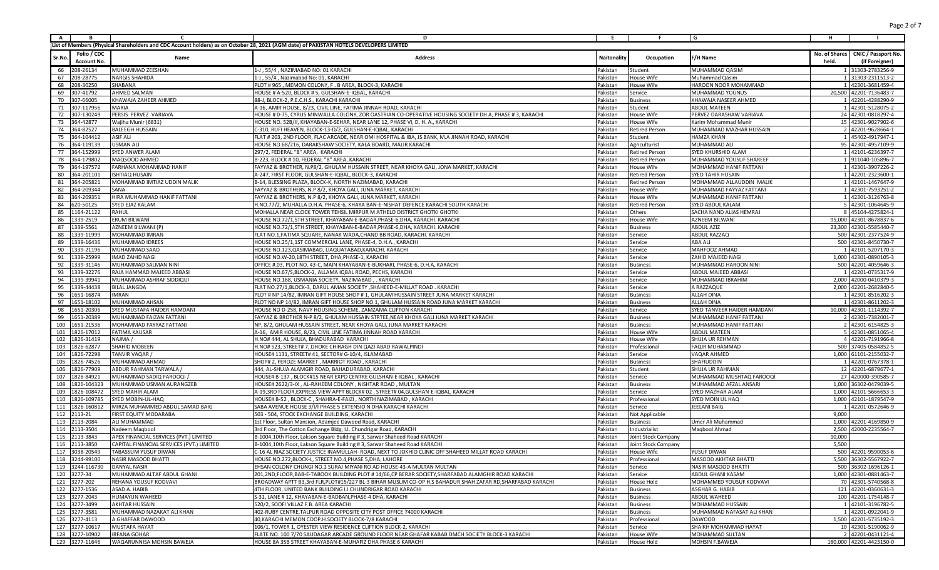| <b>A</b> | <b>B</b>           | C                                         | D                                                                                                                                       | E          |                       | G                           | н             |                         |
|----------|--------------------|-------------------------------------------|-----------------------------------------------------------------------------------------------------------------------------------------|------------|-----------------------|-----------------------------|---------------|-------------------------|
|          |                    |                                           | List of Members (Physical Shareholders and CDC Account holders) as on October 28, 2021 (AGM date) of PAKISTAN HOTELS DEVELOPERS LIMITED |            |                       |                             |               |                         |
|          | Folio / CDC        |                                           |                                                                                                                                         |            |                       |                             | No. of Shares | CNIC / Passport No.     |
| Sr.No    | <b>Account No.</b> | Name                                      | <b>Address</b>                                                                                                                          | Naitonalit | Occupation            | -/H Name                    | held.         | (if Foreigner)          |
| 66       | 208-26134          | MUHAMMAD ZEESHAN                          | 1-J, 55/4, NAZIMABAD NO: 01 KARACHI                                                                                                     | Pakistan   | Student               | MUHAMMAD QASIM              |               | 1 31303-2783256-9       |
| 67       | 208-28775          | <b>NARGIS SHAHIDA</b>                     | L-J , 55/4 , Nazimabad No: 01, KARACHI                                                                                                  | Pakistan   | House Wife            | Muhammad Qasim              |               | 1 31303-2311513-2       |
| 68       | 208-30250          | SHABANA                                   | PLOT # 965, MEMON COLONY, F. B AREA, BLOCK-3, KARACHI                                                                                   | Pakistan   | House Wife            | HAROON NOOR MOHAMMAD        |               | 1 42301-3681459-4       |
| 69       | 307-41792          | <b>AHMED SALMAN</b>                       | HOUSE # A-520, BLOCK # 5, GULSHAN-E-IQBAL, KARACHI                                                                                      | Pakistan   | Service               | MUHAMMAD YOUNUS             |               | 20,500 42201-7136483-7  |
|          | 70 307-66005       | KHAWAJA ZAHEER AHMED                      | 88-J, BLOCK-2, P.E.C.H.S., KARACHI KARACHI                                                                                              | Pakistan   | Business              | KHAWAJA NASEER AHMED        |               | 1 42201-4288290-9       |
|          | 71 307-117956      | MARIA                                     | A-16, AMIR HOUSE, 8/23, CIVIL LINE, FATIMA JINNAH ROAD, KARACH                                                                          | Pakistan   | Student               | <b>ABDUL MATEEN</b>         |               | 1 42301-5128075-2       |
| 72       | 307-130249         | PERSIS PERVEZ VARIAVA                     | HOUSE # 0-75, CYRUS MINWALLA COLONY, ZOR OASTRIAN CO-OPERATIVE HOUSING SOCIETY DH A, PHASE # 3, KARACHI                                 | Pakistan   | House Wife            | PERVEZ DARASHAW VARIAVA     |               | 24 42301-0818297-4      |
| 73       | 364-42877          | Wajiha Munir (6831)                       | HOUSE NO. 52B/II, KHAYABAN-E-SEHAR, NEAR LANE 12, PHASE VI, D. H. A., KARACHI                                                           | Pakistan   | House Wife            | Karim Mohammad Munir        |               | 15 42301-9027902-6      |
| 74       | 364-82527          | <b>BALEEGH HUSSAIN</b>                    | C-310, RUFI HEAVEN, BLOCK-13-D/2, GULSHAN-E-IQBAL, KARACHI                                                                              | Pakistan   | <b>Retired Person</b> | MUHAMMAD MAZHAR HUSSAIN     |               | 2 42201-9628664-1       |
| 75       | 364-104412         | ASIF ALI                                  | FLAT # 203, 2ND FLOOR, FLAC ARCADE, NEAR OMI HOSPITAL & IBA, JS BANK, M.A JINNAH ROAD, KARACHI                                          | Pakistan   | Student               | <b>HAMZA KHAN</b>           |               | 1 45402-4917947-1       |
| 76       | 364-119139         | <b>JSMAN ALI</b>                          | HOUSE NO.68/216, DARAKSHAW SOCIETY, KALA BOARD, MALIR KARACHI                                                                           | Pakistan   | Agriculturist         | MUHAMMAD ALI                |               | 95 42301-4957109-9      |
| 77       | 364-152999         | SYED ANWER ALAM                           | 297/2, FEDERAL "B" AREA, KARACHI                                                                                                        | Pakistan   | <b>Retired Person</b> | SYED KHURSHID ALAM          |               | 1 42101-6236397-7       |
| 78       | 364-179802         | MAQSOOD AHMED                             | B-223, BLOCK # 10, FEDERAL "B" AREA, KARACHI                                                                                            | Pakistan   | <b>Retired Person</b> | MUHAMMAD YOUSUF SHAREEF     |               | 1 911040-105896-7       |
| 79       | 364-197572         | FARHANA MOHAMMAD HANIF                    | FAYYAZ & BROTHER, N.P8/2, GHULAM HUSSAIN STREET, NEAR KHOYA GALI, JONA MARKET, KARACHI                                                  | Pakistan   | House Wife            | MOHAMMAD HANIF FATTANI      |               | 1 42301-3907226-2       |
| 80       | 364-201101         | ISHTIAQ HUSAIN                            | A-247, FIRST FLOOR, GULSHAN-E-IQBAL, BLOCK-3, KARACHI                                                                                   | Pakistan   | <b>Retired Person</b> | <b>SYED TAHIR HUSAIN</b>    |               | 1 42201-2323600-1       |
| 81       | 364-205821         | MOHAMMAD IMTIAZ UDDIN MALIK               | B-14, BLESSING PLAZA, BLOCK-K, NORTH NAZIMABAD, KARACH                                                                                  | Pakistan   | Retired Person        | MOHAMMAD ALLAUDDIN MALII    |               | 1 42101-1467647-9       |
| 82       | 364-209344         | SANA                                      | FAYYAZ & BROTHERS, N.P 8/2, KHOYA GALI, JUNA MARKET, KARACHI                                                                            | Pakistan   | House Wife            | MUHAMMAD FAYYAZ FATTAN      |               | 1 42301-7593251-2       |
| 83       | 364-209351         | HIRA MUHAMMAD HANIF FATTANI               | FAYYAZ & BROTHERS, N.P 8/2, KHOYA GALI, JUNA MARKET, KARACHI                                                                            | Pakistan   | House Wife            | MUHAMMAD HANIF FATTANI      |               | 1 42301-3126763-8       |
| 84       | 620-50125          | SYED EJAZ KALAM                           | H.NO.77/2, MUHALLA D.H.A. PHASE-6, KHAYA BAN-E-NISHAT DEFENCE KARACHI SOUTH KARACHI                                                     | Pakistan   | Retired Person        | SYED ABDUL KALAM            |               | 5 42301-1064645-9       |
| 85       | 1164-21122         | RAHUL                                     | MOHALLA NEAR CLOCK TOWER TEHSIL MIRPUR M ATHELO DISTRICT GHOTKI GHOTKI                                                                  | Pakistan   | Others                | SACHA NAND ALIAS HEMRAJ     |               | 8 45104-4275824-1       |
| 86       | 1339-2519          | ERUM BILWANI                              | HOUSE NO.72/1,5TH STREET, KHAYABAN-E-BADAR, PHASE-6, DHA, KARACHI. KARACHI                                                              | Pakistan   | House Wife            | AZNEEM BILWANI              |               | 95,000 42301-8678837-6  |
| 87       | 1339-5561          | AZNEEM BILWANI (P)                        | HOUSE NO.72/1,5TH STREET, KHAYABAN-E-BADAR,PHASE-6,DHA, KARACHI. KARACHI                                                                | Pakistan   | Business              | <b>ABDUL AZIZ</b>           |               | 23,300 42301-5585440-7  |
| 88       | 1339-11999         | MOHAMMAD IMRAN                            | FLAT NO.1, FATIMA SQUARE, NANAK WADA, CHAND BB ROAD, KARACHI. KARACHI                                                                   | Pakistan   | Service               | ABDUL RAZZAQ                |               | 500 42301-2377524-9     |
| 89       | 1339-16436         | MUHAMMAD IDREES                           | HOUSE NO.25/1,1ST COMMERCIAL LANE, PHASE-4, D.H.A., KARACHI                                                                             | Pakistan   | Service               | ABA ALI                     |               | 500 42301-8450730-7     |
| 90       | 1339-21196         | MUHAMMAD SAAD                             | HOUSE NO.123, QASIMABAD, LIAQUATABAD, KARACHI. KARACHI                                                                                  | Pakistan   | Service               | MAHFOOZ AHMAD               |               | 1 42101-5207170-3       |
| 91       | 1339-25999         | IMAD ZAHID NAGI                           | HOUSE NO.W-20,18TH STREET, DHA, PHASE-1, KARACHI                                                                                        | Pakistan   | Service               | ZAHID MAJEED NAGI           |               | 1,000 42301-0890105-3   |
| 92       | 1339-31146         | MUHAMMAD SALMAN NINI                      | OFFICE #.03, PLOT NO. 43-C, MAIN KHAYABAN-E-BUKHARI, PHASE-6, D.H.A, KARACHI                                                            | Pakistan   | Business              | MUHAMMAD HAROON NIN         |               | 500 42201-4059646-3     |
| 93       | 1339-32276         | RAJA HAMMAD MAJEED ABBASI                 | HOUSE NO.67/S,BLOCK-2, ALLAMA IQBAL ROAD, PECHS, KARACHI                                                                                | Pakistan   | Service               | ABDUL MAJEED ABBASI         |               | 1 42201-0735317-9       |
| 94       | 1339-39941         | MUHAMMAD ASHRAF SIDDIQU                   | HOUSE NO.168, USMANIA SOCIETY, NAZIMABAD, . KARACHI                                                                                     | Pakistan   | Service               | MUHAMMAD IBRAHIM            |               | 2,000 42000-0410379-3   |
| 95       | 1339-44438         | BILAL JANGDA                              | FLAT NO.27/1,BLOCK-3, DARUL AMAN SOCIETY , SHAHEED-E-MILLAT ROAD. KARACHI                                                               | Pakistan   | Service               | A RAZZAQUE                  |               | 2,000 42201-2682840-5   |
| 96       | 1651-16874         | <b>MRAN</b>                               | PLOT # NP 14/82, IMRAN GIFT HOUSE SHOP # 1, GHULAM HUSSAIN STREET JUNA MARKET KARACHI                                                   | Pakistan   | Business              | ALLAH DINA                  |               | 1 42301-8516202-3       |
| 97       | 1651-18102         | MUHAMMAD AHSAN                            | PLOT NO NP 14/82, IMRAN GIFT HOUSE SHOP NO 1, GHULAM HUSSAIN ROAD JUNA MARKET KARACHI                                                   | Pakistan   | <b>Business</b>       | ALLAH DINA                  |               | 1 42301-8611202-3       |
| 98       | 1651-20306         | SYED MUSTAFA HAIDER HAMDANI               | HOUSE NO D-258, NAVY HOUSING SCHEME, ZAMZAMA CLIFTON KARACHI                                                                            | Pakistan   | Service               | SYED TANVEER HAIDER HAMDANI |               | 10,000 42301-1114392-7  |
| 99       | 1651-20389         | MUHAMMAD FAIZAN FATTANI                   | FAYYAZ & BROTHER N-P 8/2, GHULAM HUSSAIN STRTEE, NEAR KHOYA GALI JUNA MARKET KARACHI                                                    | Pakistan   | <b>Business</b>       | MUHAMMAD HANIF FATTAN       |               | 2 42301-7382001-7       |
| 100      | 1651-21536         | MOHAMMAD FAYYAZ FATTAN                    | NP, 8/2, GHULAM HUSSAIN STREET, NEAR KHOYA GALI, JUNA MARKET KARACHI                                                                    | Pakistan   | <b>Business</b>       | MUHAMMAD HANIF FATTAN       |               | 2 42301-6154825-3       |
| 101      | 1826-17012         | FATIMA KAUSAR                             | A-16, AMIR HOUSE, 8/23, CIVIL LINE FATIMA JINNAH ROAD KARACHI                                                                           | Pakistan   | House Wife            | <b>ABDUL MATEEN</b>         |               | 5 42301-0851065-4       |
| 102      | 1826-31419         | NAJMA /                                   | H.NO# 444, AL SHUJA, BHADURABAD KARACHI                                                                                                 | Pakistan   | House Wife            | SHUJA UR REHMAN             |               | 4 42201-7191966-8       |
| 103      | 1826-62877         | SHAHID MOBEEN                             | H.NO# 523, STREET# 7, DHOKE CHIRAGH DIN QAZI ABAD RAWALPIND                                                                             | Pakistan   | Professiona           | FAQIR MUHAMMAD              |               | 500 37405-0584852-5     |
| 104      | 1826-72298         | TANVIR VAQAR /                            | HOUSE# 1131, STREET# 41, SECTOR# G-10/4, ISLAMABAD                                                                                      | Pakistan   | Service               | VAQAR AHMED                 |               | 1,000 61101-2155032-7   |
| 105      | 1826-74526         | MUHAMMAD AHMAD                            | SHOP# 2, FEROZE MARKET, MARRIOT ROAD, KARACHI                                                                                           | Pakistan   | <b>Business</b>       | SHAFIUDDIN                  |               | 1 42201-0767378-1       |
| 106      | 1826-77909         | ABDUR RAHMAN TARWALA /                    | 444, AL-SHUJA ALAMGIR ROAD, BAHADURABAD, KARACH                                                                                         | Pakistan   | Student               | SHUJA UR RAHMAN             |               | 12 42201-6879677-1      |
| 107      | 1826-84921         | MUHAMMAD SADIQ FAROOQI                    | HOUSE# B-137, BLOCK#15 NEAR EXPO CENTRE GULSHAN-E-IQBAL, KARACHI                                                                        | Pakistan   | Service               | MUHAMMAD MUSHTAQ FAROOQI    |               | 27 420000-390585-7      |
|          | 108 1826-104323    | MUHAMMAD USMAN AURANGZEB                  | HOUSE# 2622/3-IX, AL-RAHEEM COLONY, NISHTAR ROAD, MULTAN                                                                                | Pakistan   | <b>Business</b>       | MUHAMMAD AFZAL ANSARI       |               | 1,000 36302-0479039-5   |
| 109      | 1826-108472        | SYED MAHIR ALAM                           | A-19,3RD FLOOR,EXPRESS VIEW APPT BLOCK# 02 , STREET# 04,GULSHAN-E-IQBAL, KARACHI                                                        | Pakistan   | Service               | SYED MAZHAR ALAM            |               | 1,000 42101-5666653-3   |
| 110      | 1826-109785        | SYED MOBIN-UL-HAQ                         | HOUSE# B-52, BLOCK-C, SHAHRA-E-FAIZI, NORTH NAZIMABAD, KARACH                                                                           | Pakistan   | Professional          | SYED MOIN UL HAQ            |               | 1,000 42101-1879547-9   |
|          | 111 1826-160812    | MIRZA MUHAMMED ABDUL SAMAD BAIG           | SABA AVENUE HOUSE 3/1/1 PHASE 5 EXTENSIO N DHA KARACHI KARACHI                                                                          | Pakistan   | Service               | EELANI BAIG                 |               | 1 42201-0572646-9       |
|          | 112 2113-21        | <b>FIRST EQUITY MODARABA</b>              | 503 - 504. STOCK EXCHANGE BUILDING, KARACHI                                                                                             | Pakistan   | Not Applicable        |                             | 9,000         |                         |
|          | 113 2113-2084      | ALI MUHAMMAD                              | 1st Floor, Sultan Mansion, Adamjee Dawood Road, KARACH                                                                                  | Pakistan   | <b>Business</b>       | Umer Ali Muhammad           |               | 1,000 42201-4169850-9   |
|          | 114 2113-3504      | Nadeem Maqbool                            | 3rd Floor, The Cotton Exchange Bldg, I.I. Chundrigar Road, KARACHI                                                                      | Pakistan   | ndustrialist          | Maqbool Ahmad               |               | 2,500 42000-2235564-7   |
|          | 115 2113-3843      | APEX FINANCIAL SERVICES (PVT.) LIMITED    | B-1004,10th Floor, Lakson Square Building #3, Sarwar Shaheed Road KARACHI                                                               | Pakistan   | Joint Stock Company   |                             | 10,000        |                         |
|          | 116 2113-3850      | CAPITAL FINANCIAL SERVICES (PVT.) LIMITED | B-1004,10th Floor, Lakson Square Building # 3, Sarwar Shaheed Road KARACHI                                                              | Pakistan   | Joint Stock Company   |                             | 5,500         |                         |
|          | 117 3038-20549     | TABASSUM YUSUF DIWAN                      | C-16 AL RIAZ SOCIETY JUSTICE INAMULLAH- ROAD, NEXT TO JOKHIO CLINIC OFF SHAHEED MILLAT ROAD KARACHI                                     | Pakistan   | <b>House Wife</b>     | YUSUF DIWAN                 |               | 500 42201-9590053-6     |
|          | 118 3244-99100     | NASIR MASOOD BHATTI                       | HOUSE NO.272, BLOCK-L, STREET NO.4, PHASE 5, DHA, LAHORE                                                                                | Pakistan   | Professional          | <b>MASOOD AKHTAR BHATTI</b> |               | 5,500 36302-5567922-7   |
|          | 119 3244-116730    | <b>DANYAL NASIR</b>                       | EHSAN COLONY CHUNGI NO.1 SURAJ MIYANI RO AD HOUSE-43-A MULTAN MULTAN                                                                    | Pakistan   | Service               | NASIR MASOOD BHATTI         |               | 500 36302-1696126-1     |
|          | 120 3277-34        | MUHAMMAD ALTAF ABDUL GHANI                | 201,2ND,FLOOR,BAB-E-TABOOK BUILDING PLOT #14/66,CP BERAR SOCIETY,SHARFABAD ALAMGHIR ROAD KARACHI                                        | Pakistan   | Service               | ABDUL GHANI KASAM           |               | 1,000 42301-0881463-7   |
|          | 121 3277-202       | REHANA YOUSUF KODVAVI                     | BROADWAY APTT B3.3rd FLR.PLOT#15/227 BL-3 BIHAR MUSLIM CO-OP H.S BAHADUR SHAH ZAFAR RD.SHARFABAD KARACHI                                | Pakistan   | House Hold            | MOHAMMED YOUSUF KODVAVI     |               | 70 42301-5740568-8      |
|          | 122 3277-1536      | ASAD A. HABIB                             | 4TH FLOOR, UNITED BANK BUILDING I.I.CHUNDRIGAR ROAD KARACHI                                                                             | Pakistan   | <b>Business</b>       | ASGHAR G. HABIB             |               | 121 42201-0360631-3     |
|          | 123 3277-2043      | HUMAYUN WAHEED                            | S-31, LANE # 12, KHAYABAN-E-BADBAN, PHASE-4 DHA, KARACHI                                                                                | Pakistan   | <b>Business</b>       | ABDUL WAHEED                |               | 100 42201-1754148-7     |
|          | 124 3277-3499      | AKHTAR HUSSAIN                            | 520/2, SOOFI VILLAZ F.B. AREA KARACHI                                                                                                   | Pakistan   | <b>Business</b>       | MOHAMMAD HUSSAIN            |               | 1 42101-3196782-5       |
|          | 125 3277-3581      | MUHAMMAD NAZAKAT ALI KHAN                 | 402-RUBY CENTRE, TALPUR ROAD OPPOSITE CITY POST OFFICE 74000 KARACHI                                                                    | Pakistan   | <b>Business</b>       | MUHAMMAD NAFASAT ALI KHAN   |               | 1 42201-0922041-9       |
|          | 126 3277-4113      | A.GHAFFAR DAWOOD                          | 40, KARACHI MEMON COOP.H.SOCIETY BLOCK-7/8 KARACHI                                                                                      | Pakistan   | Professional          | DAWOOD                      |               | 1,500 42201-5735192-3   |
|          | 127 3277-10617     | <b>MUSTAFA HAYAT</b>                      | 106/1. TOWER 1. OYESTER VIEW RESIDENCE CLIFTION BLOCK-2. KARACHI                                                                        | Pakistan   | Service               | SHAIKH MOHAMMAD HAYAT       |               | 10 42301-5190062-9      |
|          | 128 3277-10902     | IRFANA GOHAR                              | FLATE NO. 100 7/70 SAUDAGAR ARCADE GROUND FLOOR NEAR GHAFAR KABAB DMCH SOCIETY BLOCK-3 KARACHI                                          | Pakistan   | House Wife            | MOHAMMAD SULTAN             |               | 2 42201-0431121-4       |
|          | 129 3277-11646     | WAQARUNNISA MOHSIN BAWEJA                 | HOUSE 8A 35B STREET KHAYABAN-E-MUHAFIZ DHA PHASE 6 KARACHI                                                                              | Pakistan   | House Hold            | MOHSIN F.BAWEJA             |               | 180,000 42201-4423150-0 |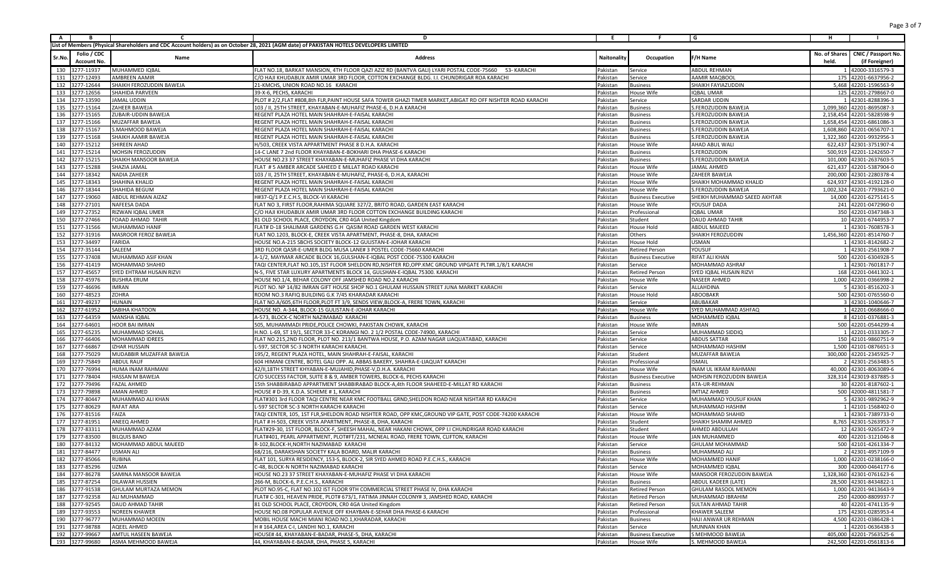| A,     | B                                 |                          | D                                                                                                                                       | E.          | F.                        | G                              | н.    |                                                       |
|--------|-----------------------------------|--------------------------|-----------------------------------------------------------------------------------------------------------------------------------------|-------------|---------------------------|--------------------------------|-------|-------------------------------------------------------|
|        |                                   |                          | List of Members (Physical Shareholders and CDC Account holders) as on October 28, 2021 (AGM date) of PAKISTAN HOTELS DEVELOPERS LIMITED |             |                           |                                |       |                                                       |
| Sr.No. | Folio / CDC<br><b>Account No.</b> | Name                     | <b>Address</b>                                                                                                                          | Naitonality | Occupation                | F/H Name                       | held. | No. of Shares   CNIC / Passport No.<br>(if Foreigner) |
|        | 130 3277-11937                    | MUHAMMED IQBAL           | FLAT NO.18, BARKAT MANSION, 4TH FLOOR QAZI AZIZ RD (BANTVA GALI) LYARI POSTAL CODE-75660 53- KARACHI                                    | Pakistan    | Service                   | ABDUL REHMAN                   |       | 1 42000-3316579-3                                     |
|        | 131 3277-12493                    | AMBREEN AAMIR            | C/O HAJI KHUDABUX AMIR UMAR 3RD FLOOR, COTTON EXCHANGE BLDG. I.I. CHUNDRIGAR ROA KARACHI                                                | Pakistan    | Service                   | AAMIR MAQBOOI                  |       | 175 42201-6637956-2                                   |
|        | 132 3277-12644                    | SHAIKH FEROZUDDIN BAWEJA | 21-KMCHS, UNION ROAD NO.16 KARACHI                                                                                                      | Pakistan    | <b>Business</b>           | SHAIKH FAYIAZUDDIN             |       | 5,468 42201-1596563-9                                 |
|        | 133 3277-12656                    | SHAHIDA PARVEEN          | 39-X-6, PECHS, KARACHI                                                                                                                  | Pakistan    | House Wife                | IQBAL UMAR                     |       | 125 42201-2798667-0                                   |
|        | 134 3277-13590                    | JAMAL UDDIN              | PLOT # 2/2,FLAT #808,8th FLR,PAINT HOUSE SAFA TOWER GHAZI TIMER MARKET,ABIGAT RD OFF NISHTER ROAD KARACHI                               | Pakistan    | Service                   | SARDAR UDDIN                   |       | 1 42301-8288396-3                                     |
| 135    | 3277-15164                        | ZAHEER BAWEJA            | 103 / II, 25TH STREET, KHAYABAN-E-MUHAFIZ PHASE-6, D.H.A KARACHI                                                                        | Pakistan    | Business                  | S.FEROZUDDIN BAWEJA            |       | 1,099,360 42201-8695087-3                             |
|        | 136 3277-15165                    | ZUBAIR-UDDIN BAWEJA      | REGENT PLAZA HOTEL MAIN SHAHRAH-E-FAISAL KARACHI                                                                                        | Pakistan    | Business                  | S.FEROZUDDIN BAWEJA            |       | 2,158,454 42201-5828598-9                             |
|        | 137 3277-15166                    | MUZAFFAR BAWEJA          | REGENT PLAZA HOTEL MAIN SHAHRAH-E-FAISAL KARACHI                                                                                        | Pakistan    | Business                  | S.FEROZUDDIN BAWEJA            |       | 1,658,454 42201-6861086-3                             |
| 138    | 3277-15167                        | S.MAHMOOD BAWEJA         | REGENT PLAZA HOTEL MAIN SHAHRAH-E-FAISAL KARACH                                                                                         | Pakistan    | Business                  | S.FEROZUDDIN BAWEJA            |       | 1,608,860 42201-0656707-1                             |
|        | 139 3277-15168                    | SHAIKH AAMIR BAWEJA      | REGENT PLAZA HOTEL MAIN SHAHRAH-E-FAISAL KARACHI                                                                                        | Pakistan    | <b>Business</b>           | S.FEROZUDDIN BAWEJA            |       | 1,322,360 42201-9932956-3                             |
|        | 140 3277-15212                    | SHIREEN AHAD             | H/503, CREEK VISTA APPARTMENT PHASE 8 D.H.A. KARACHI                                                                                    | Pakistan    | House Wife                | AHAD ABUL WALI                 |       | 622,437 42301-3751907-4                               |
| 141    | 3277-15214                        | MOHSIN FEROZUDDIN        | 14-C LANE 7 2nd FLOOR KHAYABAN-E-BOKHARI DHA PHASE-6 KARACHI                                                                            | Pakistan    | Business                  | S.FEROZUDDIN                   |       | 500,919 42201-1242650-7                               |
| 142    | 3277-15215                        | SHAIKH MANSOOR BAWEJA    | HOUSE NO.23 37 STREET KHAYABAN-E-MUHAFIZ PHASE VI DHA KARACHI                                                                           | Pakistan    | Business                  | S.FEROZUDDIN BAWEJA            |       | 101,000 42301-2637603-5                               |
|        | 143 3277-15288                    | SHAZIA JAMAL             | FLAT # 5 AMBER ARCADE SAHEED E MILLAT ROAD KARACHI                                                                                      | Pakistan    | House Wife                | JAMAL AHMED                    |       | 621,437 42201-5387904-0                               |
| 144    | 3277-18342                        | <b>NADIA ZAHEER</b>      | 103 / II, 25TH STREET, KHAYABAN-E-MUHAFIZ, PHASE-6, D.H.A, KARACHI                                                                      | Pakistan    | House Wife                | ZAHEER BAWEJA                  |       | 200,000 42301-2280378-4                               |
|        | 145 3277-18343                    | SHAHINA KHALID           | REGENT PLAZA HOTEL MAIN SHAHRAH-E-FAISAL KARACHI                                                                                        | Pakistan    | House Wife                | SHAIKH MOHAMMAD KHALID         |       | 624,937 42301-4192128-0                               |
|        | 146 3277-18344                    | SHAHIDA BEGUM            |                                                                                                                                         |             |                           |                                |       |                                                       |
| 147    | 3277-19060                        |                          | REGENT PLAZA HOTEL MAIN SHAHRAH-E-FAISAL KARACHI                                                                                        | Pakistan    | House Wife                | S.FEROZUDDIN BAWEJA            |       | 1,002,324 42201-7793621-0                             |
|        |                                   | ABDUL REHMAN AIZAZ       | H#37-Q/1 P.E.C.H.S, BLOCK-VI KARACHI                                                                                                    | Pakistan    | <b>Business Executive</b> | SHEIKH MUHAMMAD SAEED AKHTAR   |       | 14,000 42201-6275141-5                                |
| 148    | 3277-27101                        | NAFEESA DADA             | FLAT NO 3, FIRST FLOOR, RAHIMA SQUARE 327/2, BRITO ROAD, GARDEN EAST KARACHI                                                            | Pakistan    | House Wife                | YOUSUF DADA                    |       | 241 42201-0472960-0                                   |
|        | 149 3277-27352                    | RIZWAN IQBAL UMER        | C/O HAJI KHUDABUX AMIR UMAR 3RD FLOOR COTTON EXCHANGE BUILDING KARACHI                                                                  | Pakistan    | Professional              | IQBAL UMAR                     |       | 350 42201-0347348-3                                   |
| 150    | 3277-27466                        | FOAAD AHMAD TAHIF        | 81 OLD SCHOOL PLACE, CROYDON, CR0 4GA United Kingdom                                                                                    | Pakistan    | Student                   | <b>DAUD AHMAD TAHIR</b>        |       | 10 42201-6744953-7                                    |
| 151    | 3277-31566                        | MUHAMMAD HANIF           | FLAT# D-18 SHALIMAR GARDENS G.H QASIM ROAD GARDEN WEST KARACHI                                                                          | Pakistan    | House Hold                | <b>ABDUL MAJEED</b>            |       | 1 42301-7608578-3                                     |
|        | 152 3277-31916                    | MASROOR FEROZ BAWEJA     | FLAT NO.1203, BLOCK-E, CREEK VISTA APARTMENT, PHASE-8, DHA, KARACHI                                                                     | Pakistan    | Others                    | SHAIKH FEROZUDDIN              |       | 1,456,360 42201-8514760-7                             |
|        | 153 3277-34497                    | FARIDA                   | HOUSE NO.A-215 SBCHS SOCIETY BLOCK-12 GULISTAN-E-JOHAR KARACHI                                                                          | Pakistan    | House Hold                | <b>JSMAN</b>                   |       | 1 42301-8142682-2                                     |
|        | 154 3277-35144                    | SALEEM                   | 3RD FLOOR QASR-E-UMER BLDG MUSA LANE# 3 POSTEL CODE-75660 KARACHI                                                                       | Pakistan    | <b>Retired Person</b>     | YOUSUF                         |       | 1 42301-2561908-7                                     |
|        | 155 3277-37408                    | MUHAMMAD ASIF KHAN       | A-1/2, MAYMAR ARCADE BLOCK 16, GULSHAN-E-IQBAL POST CODE-75300 KARACHI                                                                  | Pakistan    | <b>Business Executive</b> | RIFAT ALI KHAN                 |       | 500 42201-6304928-5                                   |
|        | 156 3277-41419                    | MOHAMMAD SHAHID          | TAQI CENTER,FLAT NO.105,1ST FLOOR SHELDON RD,NISHTER RD,OPP.KMC GROUND VIPGATE PLT#R.1/8/1 KARACHI                                      | Pakistan    | Service                   | MOHAMMAD ASHRAF                |       | 1 42301-7601817-7                                     |
|        | 157 3277-45657                    | SYED EHTRAM HUSAIN RIZVI | N-5, FIVE STAR LUXURY APARTMENTS BLOCK 14, GULSHAN-E-IQBAL 75300. KARACHI                                                               | Pakistan    | <b>Retired Person</b>     | SYED IQBAL HUSAIN RIZVI        |       | 168 42201-0441302-1                                   |
|        | 158 3277-45976                    | <b>BUSHRA ERUM</b>       | HOUSE NO.1/4, BEHAR COLONY OFF JAMSHED ROAD NO.2 KARACHI                                                                                | Pakistan    | House Wife                | <b>NASEER AHMED</b>            |       | 1,000 42201-0366998-2                                 |
|        | 159 3277-46696                    | IMRAN                    | PLOT NO. NP 14/82 IMRAN GIFT HOUSE SHOP NO.1 GHULAM HUSSAIN STREET JUNA MARKET KARACHI                                                  | Pakistan    | Service                   | ALLAHDINA                      |       | 5 42301-8516202-3                                     |
| 160    | 3277-48523                        | ZOHRA                    | ROOM NO.3 RAFIQ BUILDING G.K 7/45 KHARADAR KARACHI                                                                                      | Pakistan    | House Hold                | <b>ABOOBAKR</b>                |       | 500 42301-0765560-0                                   |
|        | 161 3277-49237                    | <b>HUNAIN</b>            | FLAT NO.A/605,6TH FLOOR,PLOT FT 3/9, SENDS VIEW,BLOCK-A, FRERE TOWN, KARACHI                                                            | Pakistan    | Service                   | ABUBAKAR                       |       | 3 42301-1040646-7                                     |
|        | 162 3277-61952                    | SABIHA KHATOON           | HOUSE NO. A-344, BLOCK-15 GULISTAN-E-JOHAR KARACHI                                                                                      | Pakistan    | House Wife                | SYED MUHAMMAD ASHFAQ           |       | 1 42201-0668666-0                                     |
| 163    | 3277-64359                        | MANSHA IQBAL             | A-573, BLOCK-C NORTH NAZIMABAD KARACHI                                                                                                  | Pakistan    | <b>Business</b>           | MOHAMMED IQBAI                 |       | 8 42101-0376881-3                                     |
|        | 164 3277-64601                    | HOOR BAI IMRAN           | 505, MUHAMMADI PRIDE, POLICE CHOWKI, PAKISTAN CHOWK, KARACHI                                                                            | Pakistan    | House Wife                | IMRAN                          |       | 500 42201-0544299-4                                   |
|        | 165 3277-65235                    | MUHAMMAD SOHAIL          | H.NO. L-69, ST 19/1, SECTOR 33-C KORANGI NO. 2 1/2 POSTAL CODE-74900, KARACHI                                                           | Pakistan    | Service                   | MUHAMMAD SIDDIQ                |       | 1 42201-0333305-7                                     |
| 166    | 3277-66406                        | MOHAMMAD IDREES          | FLAT NO.215,2ND FLOOR, PLOT NO. 213/1 BANTWA HOUSE, P.O. AZAM NAGAR LIAQUATABAD, KARACH                                                 | Pakistan    | Service                   | <b>ABDUS SATTAR</b>            |       | 150 42101-9860751-9                                   |
| 167    | 3277-66867                        | <b>IZHAR HUSSAIN</b>     | L-597, SECTOR 5C-3 NORTH KARACHI KARACHI                                                                                                | Pakistan    | Service                   | MOHAMMAD HASHIM                |       | 1,500 42101-0876651-3                                 |
|        | 168 3277-75029                    | MUDABBIR MUZAFFAR BAWEJA | 195/2, REGENT PLAZA HOTEL, MAIN SHAHRAH-E-FAISAL, KARACHI                                                                               | Pakistan    | Student                   | MUZAFFAR BAWEJA                |       | 300,000 42201-2345925-7                               |
| 169    | 3277-75849                        | <b>ABDUL RAUF</b>        | 604 HIMANI CENTRE, BOTEL GALI OPP. AL ABBAS BAKERY, SHAHRA-E-LIAQUAT KARACHI                                                            | Pakistan    | Professional              | <b>ISMAIL</b>                  |       | 2 42301-2563483-5                                     |
|        | 170 3277-76994                    | HUMA INAM RAHMANI        | 42/II,18TH STREET KHYABAN-E-MUJAHID, PHASE-V, D.H.A. KARACHI                                                                            | Pakistan    | House Wife                | INAM UL IKRAM RAHMANI          |       | 40,000 42301-8063089-6                                |
|        | 171 3277-78404                    | HASSAN M BAWEJA          | C/O SUCCESS FACTOR, SUITE 8 & 9, AMBER TOWERS, BLOCK-6, PECHS KARACHI                                                                   | Pakistan    | Business Executive        | MOHSIN FEROZUDDIN BAWEJA       |       | 328,314 423019-837885-3                               |
|        | 172 3277-79496                    | <b>FAZAL AHMED</b>       | 15th SHABBIRABAD APPARTMENT SHABBIRABAD BLOCK-A,4th FLOOR SHAHEED-E-MILLAT RD KARACHI                                                   | Pakistan    | <b>Business</b>           | ATA-UR-REHMAN                  |       | 30 42201-8187602-1                                    |
|        | 173 3277-79898                    | <b>AMAN AHMED</b>        | HOUSE # D-39, K.D.A. SCHEME # 1, KARACHI                                                                                                | Pakistan    | <b>Business</b>           | <b>IMTIAZ AHMED</b>            |       | 500 42000-4811581-7                                   |
|        | 174 3277-80447                    | MUHAMMAD ALI KHAN        | FLAT#301 3rd FLOOR TAQI CENTRE NEAR KMC FOOTBALL GRND,SHELDON ROAD NEAR NISHTAR RD KARACHI                                              | Pakistan    | Service                   | MUHAMMAD YOUSUF KHAN           |       | 5 42301-9892962-9                                     |
|        | 175 3277-80629                    | RAFAT ARA                | L-597 SECTOR 5C-3 NORTH KARACHI KARACHI                                                                                                 | Pakistan    | Service                   | MUHAMMAD HASHIM                |       | 1 42101-1568402-0                                     |
|        | 176 3277-81516                    | FAIZA                    | TAQI CENTER, 105, 1ST FLR,SHELDON ROAD NISHTER ROAD, OPP KMC,GROUND VIP GATE, POST CODE-74200 KARACHI                                   | Pakistan    | House Wife                | MOHAMMAD SHAHID                |       | 1 42301-7389733-0                                     |
|        | 177 3277-81951                    | ANEEQ AHMED              | FLAT # H-503, CREEK VISTA APARTMENT, PHASE-8, DHA, KARACHI                                                                              | Pakistan    | Student                   | SHAIKH SHAMIM AHMED            |       | 8,765 42301-5263953-7                                 |
|        | 178 3277-83311                    | MUHAMMAD AZAM            | FLAT#29-30, 1ST FLOOR, BLOCK-F, SHEESH MAHAL, NEAR HAKANI CHOWK, OPP I.I CHUNDRIGAR ROAD KARACHI                                        | Pakistan    | Student                   | AHMED ABDULLAH                 |       | 12 42301-9265472-9                                    |
|        | 179 3277-83500                    | <b>BILQUIS BANO</b>      | FLAT#401, PEARL APPARTMENT, PLOT#FT/231, MCNEAL ROAD, FRERE TOWN, CLIFTON, KARACHI                                                      | Pakistan    | House Wife                | JAN MUHAMMED                   |       | 400 42201-3121046-8                                   |
|        | 180 3277-84132                    | MOHAMMAD ABDUL MAJEED    | R-102, BLOCK-H, NORTH NAZIMABAD KARACHI                                                                                                 | Pakistan    | Service                   | GHULAM MOHAMMAD                |       | 500 42101-4261334-7                                   |
|        | 181 3277-84477                    | USMAN ALI                | 68/216, DARAKSHAN SOCIETY KALA BOARD, MALIR KARACHI                                                                                     | Pakistan    |                           |                                |       |                                                       |
|        | 182 3277-85066                    | <b>RUBINA</b>            | FLAT 101, SURYA RESIDENCY, 153-S, BLOCK-2, SIR SYED AHMED ROAD P.E.C.H.S., KARACHI                                                      | Pakistan    | <b>Business</b>           | MUHAMMAD ALI<br>MOHAMMED HANIF |       | 2 42301-4957109-9<br>1,000 42201-0238166-0            |
|        | 183 3277-85296                    | UZMA                     | C-48, BLOCK-N NORTH NAZIMABAD KARACHI                                                                                                   | Pakistan    | House Wife                | MOHAMMED IQBAL                 |       | 300 42000-0464177-6                                   |
|        | 184 3277-86278                    | SAMINA MANSOOR BAWEJA    | HOUSE NO.23 37 STREET KHAYABAN-E-MUHAFIZ PHASE VI DHA KARACHI                                                                           | Pakistan    | Service                   | MANSOOR FEROZUDDIN BAWEJA      |       | 1,328,360 42301-0761623-6                             |
|        |                                   | DILAWAR HUSSIEN          |                                                                                                                                         |             | House Wife                |                                |       |                                                       |
|        | 185 3277-87254                    |                          | 266-M, BLOCK-6, P.E.C.H.S., KARACHI                                                                                                     | Pakistan    | <b>Business</b>           | <b>ABDUL KADEER (LATE)</b>     |       | 28,500 42301-8434822-1                                |
|        | 186 3277-91538                    | GHULAM MURTAZA MEMON     | PLOT NO.95-C, FLAT NO.102 IST FLOOR 9TH COMMERCIAL STREET PHASE IV, DHA KARACHI                                                         | Pakistan    | Retired Person            | <b>GHULAM RASOOL MEMON</b>     |       | 1,000 42201-9413643-9                                 |
|        | 187 3277-92358                    | ALI MUHAMMAD             | FLAT# C-301, HEAVEN PRIDE, PLOT# 673/1, FATIMA JINNAH COLONY# 3, JAMSHED ROAD, KARACHI                                                  | Pakistan    | <b>Retired Person</b>     | MUHAMMAD IBRAHIM               |       | 250 42000-8809937-7                                   |
| 188    | 3277-92545                        | DAUD AHMAD TAHIR         | 81 OLD SCHOOL PLACE, CROYDON, CR0 4GA United Kingdom                                                                                    | Pakistan    | <b>Retired Person</b>     | <b>SULTAN AHMAD TAHIR</b>      |       | 40 42201-4741135-9                                    |
|        | 189 3277-93553                    | <b>NOREEN KHAWER</b>     | HOUSE NO.08 POPULAR AVENUE OFF KHAYBAN-E-SEHAR DHA PHASE-6 KARACHI                                                                      | Pakistan    | Professional              | KHAWER SALEEM                  |       | 175 42301-0285953-4                                   |
|        | 190 3277-96777                    | MUHAMMAD MOEEN           | MOBIL HOUSE MACHI MIANI ROAD NO.1, KHARADAR, KARACHI                                                                                    | Pakistan    | <b>Business</b>           | HAJI ANWAR UR REHMAN           |       | 4,500 42201-0386428-1                                 |
|        | 191 3277-98788                    | AQEEL AHMED              | H # 164.AREA C-I. LANDHI NO.1. KARACHI                                                                                                  | Pakistan    | Service                   | <b>MUNNAN KHAN</b>             |       | 1 42201-0636438-3                                     |
|        | 192 3277-99667                    | AMTUL HASEEN BAWEJA      | HOUSE# 44, KHAYABAN-E-BADAR, PHASE-5, DHA, KARACHI                                                                                      | Pakistan    | <b>Business Executive</b> | S MEHMOOD BAWEJA               |       | 405,000 42201-7563525-6                               |
|        | 193 3277-99680                    | ASMA MEHMOOD BAWEJA      | 44, KHAYABAN-E-BADAR, DHA, PHASE 5, KARACHI                                                                                             | Pakistan    | House Wife                | S. MEHMOOD BAWEJA              |       | 242,500 42201-0561813-6                               |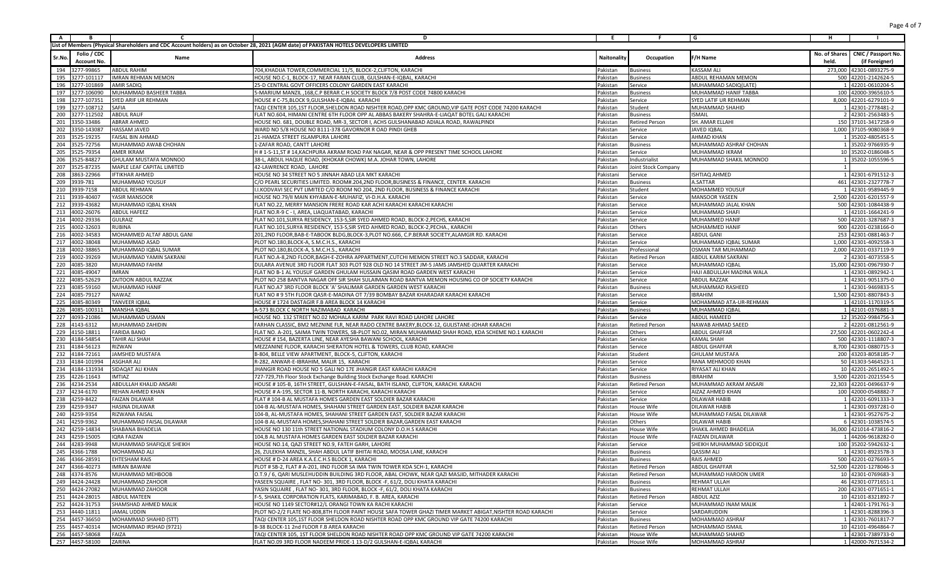| A                |                    | C                            | D                                                                                                                                       | Ε.          |                       | G                         | н     |                                     |
|------------------|--------------------|------------------------------|-----------------------------------------------------------------------------------------------------------------------------------------|-------------|-----------------------|---------------------------|-------|-------------------------------------|
|                  |                    |                              | List of Members (Physical Shareholders and CDC Account holders) as on October 28, 2021 (AGM date) of PAKISTAN HOTELS DEVELOPERS LIMITED |             |                       |                           |       |                                     |
|                  | Folio / CDC        |                              |                                                                                                                                         |             |                       |                           |       | No. of Shares   CNIC / Passport No. |
| Sr.Nc            | <b>Account No.</b> | Name                         | <b>Address</b>                                                                                                                          | Naitonality | Occupation            | F/H Name                  | held. | (if Foreigner)                      |
| 194              | 3277-99865         | <b>ABDUL RAHIM</b>           | 704, KHADIJA TOWER, COMMERCIAL 11/5, BLOCK-2, CLIFTON, KARACHI                                                                          | Pakistan    | <b>Business</b>       | <b>KASSAM ALI</b>         |       | 273,000 42301-0893275-9             |
| 195              | 3277-101117        | <b>IMRAN REHMAN MEMON</b>    | HOUSE NO.C-1, BLOCK-17, NEAR FARAN CLUB, GULSHAN-E-IQBAL, KARACHI                                                                       | Pakistan    | <b>Business</b>       | ABDUL REHAMAN MEMON       |       | 500 42201-2142624-5                 |
| 196              | 3277-101869        | AMIR SADIQ                   | 25-D CENTRAL GOVT OFFICERS COLONY GARDEN EAST KARACHI                                                                                   | Pakistan    | Service               | MUHAMMAD SADIQ(LATE)      |       | 1 42201-0610204-5                   |
| 197              | 3277-106090        | MUHAMMAD BASHEER TABBA       | 5-MARIUM MANZIL , 168, C.P BERAR C.H SOCIETY BLOCK 7/8 POST CODE 74800 KARACHI                                                          | Pakistan    | Business              | MUHAMMAD HANIF TABBA      |       | 100 42000-3965610-5                 |
| 198              | 3277-107351        | SYED ARIF UR REHMAN          | HOUSE # C-75, BLOCK 9, GULSHAN-E-IQBAL KARACHI                                                                                          | Pakistan    | Service               | SYED LATIF UR REHMAN      |       | 8,000 42201-6279101-9               |
| 199              | 3277-108712        | SAFIA                        | TAQI CENTER 105,1ST FLOOR, SHELDON ROAD NISHTER ROAD, OPP KMC GROUND, VIP GATE POST CODE 74200 KARACHI                                  | Pakistan    | Student               | MUHAMMAD SHAHID           |       | 1 42301-2778481-2                   |
| 200              | 3277-112502        | <b>ABDUL RAUF</b>            | FLAT NO.604, HIMANI CENTRE 6TH FLOOR OPP AL ABBAS BAKERY SHAHRA-E-LIAQAT BOTEL GALI KARACHI                                             | Pakistan    | <b>Business</b>       | <b>ISMAIL</b>             |       | 2 42301-2563483-5                   |
| 201              | 3350-33486         | <b>ABRAR AHMED</b>           | HOUSE NO. 681, DOUBLE ROAD, MR-3, SECTOR I, ACHS GULSHANABAD ADIALA ROAD, RAWALPINDI                                                    | Pakistan    | Retired Person        | SH. AMAR ELLAHI           |       | 150 37101-3417258-9                 |
| 202              | 3350-143087        | HASSAM JAVED                 | WARD NO 5/8 HOUSE NO B111-378 GAVORNOR R OAD PINDI GHEB                                                                                 | Pakistan    | Service               | <b>JAVED IQBAL</b>        |       | 1,000 37105-9080368-9               |
| 203              | 3525-19235         | AISAL BIN AHMAD              | 21-HAMZA STREET ISLAMPURA LAHORE                                                                                                        | Pakistan    | Service               | <b>AHMAD KHAN</b>         |       | 1 35202-4805451-5                   |
| 204              | 3525-72756         | MUHAMMAD AWAB CHOHAN         | 1-ZAFAR ROAD, CANTT LAHORE                                                                                                              | Pakistan    | <b>Business</b>       | MUHAMMAD ASHRAF CHOHAN    |       | 1 35202-9766935-9                   |
| 205              | 3525-79354         | AMER IKRAM                   | H # 1-S-11, ST # 14, KACHPURA AKRAM ROAD PAK NAGAR, NEAR & OPP PRESENT TIME SCHOOL LAHORE                                               | Pakistan    | Service               | MUHAMMAD IKRAM            |       | 10 35202-0186048-5                  |
| 206              | 3525-84827         | <b>GHULAM MUSTAFA MONNOO</b> | 38-L, ABDUL HAQUE ROAD, (KHOKAR CHOWK) M.A. JOHAR TOWN, LAHORE                                                                          | Pakistan    | ndustrialist          | MUHAMMAD SHAKIL MONNOO    |       | 1 35202-1055596-5                   |
| 207              | 3525-87235         | MAPLE LEAF CAPITAL LIMITED   | 42-LAWRENCE ROAD, LAHORE                                                                                                                | Pakistan    | Joint Stock Company   |                           |       |                                     |
| 208              | 3863-22966         | <b>IFTIKHAR AHMED</b>        | HOUSE NO 34 STREET NO 5 JINNAH ABAD LEA MKT KARACHI                                                                                     | Pakistani   | Service               | ISHTIAQ AHMED             |       | 1 42301-6791512-3                   |
| 3939-781<br>209  |                    | MUHAMMAD YOUSUF              | C/O PEARL SECURITIES LIMITED. ROOM#.204,2ND FLOOR,BUSINESS & FINANCE, CENTER. KARACHI                                                   | Pakistan    | <b>Business</b>       | A.SATTAR                  |       | 461 42301-2327778-7                 |
| 210<br>3939-7158 |                    | <b>ABDUL REHMAN</b>          | I.I.KODVAVI SEC PVT LIMITED C/O ROOM NO 204, 2ND FLOOR, BUSINESS & FINANCE KARACHI                                                      | Pakistan    | Student               | MOHAMMED YOUSUF           |       | 1 42301-9589445-9                   |
| 211 3939-40407   |                    | YASIR MANSOOR                | HOUSE NO.79/II MAIN KHYABAN-E-MUHAFIZ, VI-D.H.A. KARACHI                                                                                | Pakistan    | Service               | <b>MANSOOR YASEEN</b>     |       | 2,500 42201-6201557-9               |
| 212 3939-43682   |                    | MUHAMMAD IQBAL KHAN          | FLAT NO.22, MERRY MANSION FRERE ROAD KAR ACHI KARACHI KARACHI KARACHI                                                                   | Pakistan    | Service               | MUHAMMAD JALAL KHAN       |       | 500 42301-1084438-9                 |
| 213              | 4002-26076         | <b>ABDUL HAFEEZ</b>          | FLAT NO.R-9 C - I, AREA, LIAQUATABAD, KARACH                                                                                            | Pakistan    | Service               | MUHAMMAD SHAFI            |       | 1 42101-1664241-9                   |
| 214              | 4002-29336         | <b>GULRAIZ</b>               | FLAT NO.101, SURYA RESIDENCY, 153-S, SIR SYED AHMED ROAD, BLOCK-2, PECHS, KARACHI                                                       | Pakistan    | Service               | MUHAMMED HANIF            |       | 500 42201-3287687-3                 |
| 215 4002-32603   |                    | <b>NUBINA</b>                | FLAT NO.101, SURYA RESIDENCY, 153-S, SIR SYED AHMED ROAD, BLOCK-2, PECHA., KARACHI                                                      | Pakistan    | Others                | MOHAMMED HANIF            |       | 900 42201-0238166-0                 |
| 216              | 4002-34583         | MOHAMMED ALTAF ABDUL GANI    | 201,2ND FLOOR,BAB-E-TABOOK BLDG,BLOCK-3,PLOT NO.666, C.P.BERAR SOCIETY,ALAMGIR RD. KARACHI                                              | Pakistan    | Service               | <b>ABDUL GANI</b>         |       | 253 42301-0881463-7                 |
| 217              | 4002-38048         | MUHAMMAD ASAD                | PLOT NO.180, BLOCK-A, S.M.C.H.S., KARACHI                                                                                               | Pakistan    | Service               | MUHAMMAD IQBAL SUMAR      |       | 1,000 42301-4092558-3               |
| 218              | 4002-38865         | MUHAMMAD IQBAL SUMAR         | PLOT NO.180, BLOCK-A, S.M.C.H.S., KARACHI                                                                                               | Pakistan    | Professional          | OSMAN TAR MUHAMMAD        |       | 2,000 42201-0337119-9               |
| 219              | 4002-39269         | MUHAMMAD YAMIN SAKRANI       | FLAT NO.A-8,2ND FLOOR, BAGH-E-ZOHRA APPARTMENT, CUTCHI MEMON STREET NO.3 SADDAR, KARACH                                                 | Pakistan    | <b>Retired Person</b> | ABDUL KARIM SAKRANI       |       | 2 42301-4073558-5                   |
| 220              | 4085-3820          | MUHAMMAD FAHIM               | DULARA AVENUE 3RD FLOOR FLAT 303 PLOT 928 OLD NO 14 STREET JM-5 JAMS JAMSHED QUARTER KARACHI                                            | Pakistan    | Service               | MUHAMMAD IQBAL            |       | 15,000 42301-0967930-7              |
| 221 4085-49047   |                    | <b>IMRAN</b>                 | FLAT NO B-1 AL YOUSUF GARDEN GHULAM HUSSAIN QASIM ROAD GARDEN WEST KARACHI                                                              | Pakistan    | Service               | HAJI ABDULLAH MADINA WALA |       | 1 42301-0892942-1                   |
| 222              | 4085-52629         | ZAITOON ABDUL RAZZAK         | PLOT NO 258 BANTVA NAGAR OFF SIR SHAH SULAIMAN ROAD BANTVA MEMON HOUSING CO OP SOCIETY KARACH                                           | Pakistan    | Service               | <b>ABDUL RAZZAK</b>       |       | 1 42301-9051375-0                   |
| 223              | 4085-59160         | MUHAMMAD HANIF               | FLAT NO.A7 3RD FLOOR BLOCK 'A' SHALIMAR GARDEN GARDEN WEST KARACHI                                                                      | Pakistan    | <b>Business</b>       | MUHAMMAD RASHEED          |       | 1 42301-9469833-5                   |
| 224              | 4085-79127         | VAWAZ                        | FLAT NO #9 5TH FLOOR QASR-E-MADINA OT 7/39 BOMBAY BAZAR KHARADAR KARACHI KARACHI                                                        | Pakistan    | Service               | <b>BRAHIM</b>             |       | 1,500 42301-8807843-3               |
| 225              | 4085-80349         | TANVEER IQBAL                | HOUSE # 1724 DASTAGIR F.B AREA BLOCK 14 KARACHI                                                                                         | Pakistan    | Service               | MOHAMMAD ATA-UR-REHMAN    |       | 1 42101-1170319-5                   |
| 226              | 4085-100311        | MANSHA IQBAL                 | A-573 BLOCK C NORTH NAZIMABAD KARACHI                                                                                                   | Pakistan    | <b>Business</b>       | MUHAMMAD IQBAL            |       | 1 42101-0376881-3                   |
| 227 4093-21086   |                    | MUHAMMAD USMAN               | HOUSE NO. 132 STREET NO.02 MOHALA KARIM PARK RAVI ROAD LAHORE LAHORE                                                                    | Pakistan    | Service               | ABDUL HAMEED              |       | 12 35202-9984756-3                  |
| 228              | 4143-6312          | MUHAMMAD ZAHIDIN             | FARHAN CLASSIC, BM2 MEZNINE FLR, NEAR RADO CENTRE BAKERY, BLOCK-12, GULISTANE-JOHAR KARACH                                              | Pakistan    | <b>Retired Person</b> | NAWAB AHMAD SAEED         |       | 2 42201-0812561-9                   |
| 229              | 4150-18811         | <b>FARIDA BANO</b>           | FLAT NO. A-201, SAIMA TWIN TOWERS, SB-PLOT NO.02, MIRAN MUHAMMAD SHAH ROAD, KDA SCHEME NO.1 KARACHI                                     | Pakistan    | Others                | <b>ABDUL GHAFFAR</b>      |       | 27,500 42201-0602242-4              |
| 230 4184-54854   |                    | TAHIR ALI SHAH               | HOUSE # 154, BAZERTA LINE, NEAR AYESHA BAWANI SCHOOL, KARACHI                                                                           | Pakistan    | Service               | KAMAL SHAH                |       | 500 42301-1118807-3                 |
| 231              | 4184-56123         | RIZWAN                       | MEZZANINE FLOOR, KARACHI SHERATON HOTEL & TOWERS, CLUB ROAD, KARACHI                                                                    | Pakistan    | Service               | <b>ABDUL GHAFFAR</b>      |       | 8,700 42301-0880715-3               |
| 232              | 4184-72161         | <b>JAMSHED MUSTAFA</b>       | B-804, BELLE VIEW APARTMENT, BLOCK-5, CLIFTON, KARACHI                                                                                  | Pakistan    | Student               | <b>GHULAM MUSTAFA</b>     |       | 200 43203-8058185-7                 |
| 233              | 4184-101994        | <b>ASGHAR ALI</b>            | R-282, ANWAR-E-IBRAHIM, MALIR 15, KARACHI                                                                                               | Pakistan    | Service               | RANA MEHMOOD KHAN         |       | 50 41303-5464523-1                  |
| 234 4184-131934  |                    | <b>SIDAQAT ALI KHAN</b>      | JHANGIR ROAD HOUSE NO 5 GALI NO 17E JHANGIR EAST KARACHI KARACHI                                                                        | Pakistan    | Service               | RIYASAT ALI KHAN          |       | 10 42201-2651492-5                  |
| 235              | 4226-11643         | <b>IMTIAZ</b>                | 727-729,7th Floor Stock Exchange Building Stock Exchange Road. KARACHI                                                                  | Pakistan    | <b>Business</b>       | <b>IBRAHIM</b>            |       | 3,500 42201-2021554-5               |
| 236<br>4234-2534 |                    | ABDULLAH KHALID ANSAR        | HOUSE # 105-B, 16TH STREET, GULSHAN-E-FAISAL, BATH ISLAND, CLIFTON, KARACHI. KARACHI                                                    | Pakistan    | <b>Retired Person</b> | MUHAMMAD AKRAM ANSARI     |       | 22,303 42201-0496637-9              |
| 237<br>4234-6170 |                    | REHAN AHMED KHAN             | HOUSE # A-195, SECTOR 11-B, NORTH KARACHI, KARACHI KARACHI                                                                              | Pakistan    | Service               | AIZAZ AHMED KHAN          |       | 100 42000-0548882-7                 |
| 238<br>4259-8422 |                    | <b>FAIZAN DILAWAR</b>        | FLAT # 104-B AL MUSTAFA HOMES GARDEN EAST SOLDIER BAZAR KARACHI                                                                         | Pakistan    | Service               | <b>DILAWAR HABIB</b>      |       | 1 42201-6091333-3                   |
| 239<br>4259-9347 |                    | HASINA DILAWAR               | 104-B AL-MUSTAFA HOMES, SHAHANI STREET GARDEN EAST, SOLDIER BAZAR KARACHI                                                               | Pakistan    | House Wife            | DILAWAR HABIB             |       | 1 42301-0937281-0                   |
| 240<br>4259-9354 |                    | RIZWANA FAISAL               | 104-B, AL-MUSTAFA HOMES, SHAHANI STREET GARDEN EAST, SOLDIER BAZAR KARACHI                                                              | Pakistan    | House Wife            | MUHAMMAD FAISAL DILAWAR   |       | 1 42301-9527675-2                   |
| 241<br>4259-9362 |                    | MUHAMMAD FAISAL DILAWAR      | 104-B AL-MUSTAFA HOMES, SHAHANI STREET SOLDIER BAZAR, GARDEN EAST KARACHI                                                               | Pakistan    | Others                | <b>DILAWAR HABIB</b>      |       | 6 42301-1038574-5                   |
| 242              | 4259-14834         | SHABANA BHADELIA             | HOUSE NO 130 11th STREET NATIONAL STADIUM COLONY D.O.H.S KARACHI                                                                        | Pakistan    | House Wife            | SHAKIL AHMED BHADELIA     |       | 36,000 421014-473816-2              |
| 243              | 4259-15005         | IQRA FAIZAN                  | 104.B AL MUSTAFA HOMES GARDEN EAST SOLDIER BAZAR KARACHI                                                                                | Pakistan    | House Wife            | <b>FAIZAN DILAWAR</b>     |       | 1 44206-9618282-0                   |
| 244              | 4283-9948          | MUHAMMAD SHAFIQUE SHEIKH     | HOUSE NO.14, QAZI STREET NO.9, FATEH GARH, LAHORE                                                                                       | Pakistan    | Service               | SHEIKH MUHAMMAD SIDDIQUE  |       | 100 35202-5942632-1                 |
| 245 4366-1788    |                    | MOHAMMAD ALI                 | 26, ZULEKHA MANZIL, SHAH ABDUL LATIF BHITAI ROAD, MOOSA LANE, KARACHI                                                                   | Pakistan    | <b>Business</b>       | QASSIM ALI                |       | 1 42301-8923578-3                   |
| 246 4366-28591   |                    | <b>EHTESHAM RAIS</b>         | HOUSE # D-24 AREA K.A.E.C.H.S BLOCK 1. KARACHI                                                                                          | Pakistan    | <b>Business</b>       | RAIS AHMED                |       | 500 42201-0276693-5                 |
| 247 4366-40273   |                    | <b>IMRAN BAWANI</b>          | PLOT # SB-2, FLAT # A-201, IIND FLOOR SA IMA TWIN TOWER KDA SCH-1, KARACHI                                                              | Pakistan    | <b>Retired Person</b> | <b>ABDUL GHAFFAR</b>      |       | 52,500 42201-1278046-3              |
| 248 4374-8576    |                    | MUHAMMAD MEHBOOB             | O.T.9 / 6, QARI MUSLEHUDDIN BUILDING 3RD FLOOR, ABAL CHOWK, NEAR QAZI MASJID, MITHADER KARACHI                                          | Pakistan    | <b>Retired Person</b> | MUHAMMAD HAROON UMER      |       | 10 42301-0769683-3                  |
| 249 4424-24428   |                    | MUHAMMAD ZAHOOR              | YASEEN SQUAIRE, FLAT NO-301, 3RD FLOOR, BLOCK -F, 61/2, DOLI KHATA KARACHI                                                              | Pakistan    | <b>Business</b>       | REHMAT ULLAH              |       | 46 42301-0771651-1                  |
| 250 4424-27082   |                    | MUHAMMAD ZAHOOR              | YASIN SQUAIRE, FLAT NO-301, 3RD FLOOR, BLOCK -F, 61/2, DOLI KHATA KARACHI                                                               | Pakistan    | <b>Business</b>       | REHMAT ULLAH              |       | 200 42301-0771651-1                 |
| 251 4424-28015   |                    | <b>ABDUL MATEEN</b>          | F-5, SHAKIL CORPORATION FLATS, KARIMABAD, F. B. AREA, KARACHI                                                                           | Pakistan    | <b>Retired Person</b> | <b>ABDUL AZIZ</b>         |       | 10 42101-8321892-7                  |
| 252 4424-31753   |                    | SHAMSHAD AHMED MALIK         | HOUSE NO 1149 SECTOR#12/L ORANGI TOWN KA RACHI KARACHI                                                                                  | Pakistan    | Service               | MUHAMMAD INAM MALIK       |       | 1 42401-1791761-3                   |
| 253 4440-11811   |                    | JAMAL UDDIN                  | PLOT NO-2/2 FLATE NO-808,8TH FLOOR PAINT HOUSE SAFA TOWER GHAZI TIMER MARKET ABIGAT, NISHTER ROAD KARACHI                               | Pakistan    | Service               | SARDARUDDIN               |       | 1 42301-8288396-3                   |
| 254 4457-36650   |                    | MOHAMMAD SHAHID (STT)        | TAQI CENTER 105,1ST FLOOR SHELDON ROAD NISHTER ROAD OPP KMC GROUND VIP GATE 74200 KARACHI                                               | Pakistan    | <b>Business</b>       | MOHAMMAD ASHRAF           |       | 1 42301-7601817-7                   |
| 255 4457-40314   |                    | MOHAMMAD IRSHAD (9721)       | B-38 BLOCK-11 2nd FLOOR F.B AREA KARACHI                                                                                                | Pakistan    | Retired Person        | MOHAMMAD ISMAIL           |       | 10 42101-4964864-7                  |
| 256 4457-58068   |                    | FAIZA                        | TAQI CENTER 105, 1ST FLOOR SHELDON ROAD NISHTER ROAD OPP KMC GROUND VIP GATE 74200 KARACHI                                              | Pakistan    | House Wife            | MUHAMMAD SHAHID           |       | 1 42301-7389733-0                   |
| 257 4457-58100   |                    | ZARINA                       | FLAT NO.09 3RD FLOOR NADEEM PRIDE-1 13-D/2 GULSHAN-E-IQBAL KARACHI                                                                      | Pakistan    | House Wife            | MOHAMMAD ASHRAF           |       | 1 42000-7671534-2                   |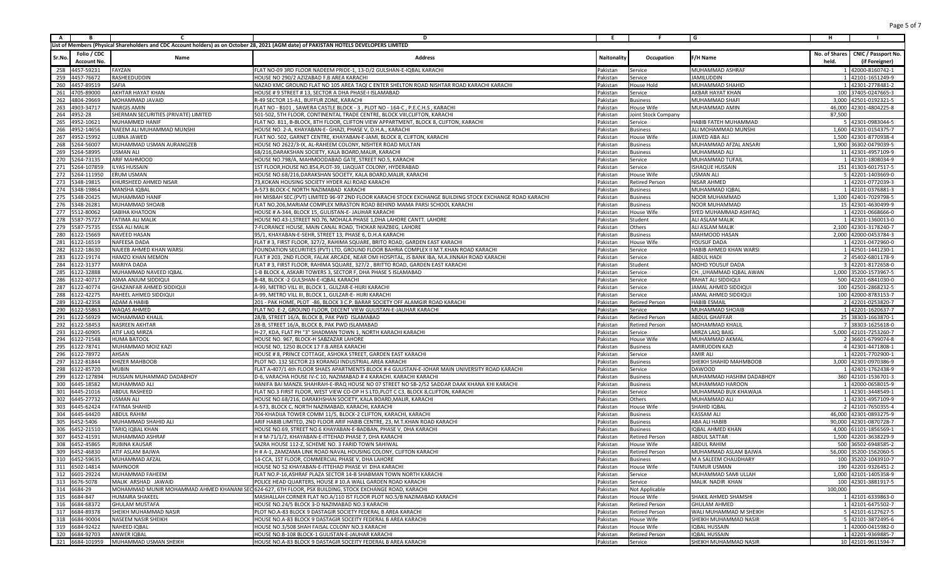| A                                      |                    | c                                       | D                                                                                                                                            | Ε.                   |                                          | G                                            | н       |                                                  |
|----------------------------------------|--------------------|-----------------------------------------|----------------------------------------------------------------------------------------------------------------------------------------------|----------------------|------------------------------------------|----------------------------------------------|---------|--------------------------------------------------|
|                                        |                    |                                         | List of Members (Physical Shareholders and CDC Account holders) as on October 28, 2021 (AGM date) of PAKISTAN HOTELS DEVELOPERS LIMITED      |                      |                                          |                                              |         |                                                  |
|                                        | Folio / CDC        |                                         |                                                                                                                                              |                      |                                          |                                              |         | No. of Shares   CNIC / Passport No.              |
| Sr.No                                  | <b>Account No.</b> | Name                                    | <b>Address</b>                                                                                                                               | Naitonality          | Occupation                               | F/H Name                                     | held.   | (if Foreigner)                                   |
| 4457-59231<br>258                      |                    | FAYZAN                                  | FLAT NO-09 3RD FLOOR NADEEM PRIDE-1, 13-D/2 GULSHAN-E-IQBAL KARACHI                                                                          | Pakistan             | Service                                  | MUHAMMAD ASHRAF                              |         | 1 42000-8160742-1                                |
| 259<br>4457-76672                      |                    | RASHEEDUDDIN                            | HOUSE NO 290/2 AZIZABAD F.B AREA KARACHI                                                                                                     | Pakistan             | Service                                  | <b>JAMILUDDIN</b>                            |         | 1 42101-1651249-9                                |
| 260<br>4457-89519                      |                    | SAFIA                                   | NAZAD KMC GROUND FLAT NO 105 AREA TAQI C ENTER SHELTON ROAD NISHTAR ROAD KARACHI KARACHI                                                     | Pakistan             | House Hold                               | MUHAMMAD SHAHID                              |         | 1 42301-2778481-2                                |
| 261<br>4705-89000                      |                    | AKHTAR HAYAT KHAN                       | HOUSE # 9 STREET # 13, SECTOR A DHA PHASE-I ISLAMABAD                                                                                        | Pakistan             | Service                                  | AKBAR HAYAT KHAN                             |         | 100 37405-0247665-3                              |
| 262<br>4804-29669                      |                    | MOHAMMAD JAVAID                         | R-49 SECTOR 15-A1, BUFFUR ZONE, KARACHI                                                                                                      | Pakistan             | <b>Business</b>                          | MUHAMMAD SHAFI                               |         | 3,000 42501-0192321-5                            |
| 263<br>4903-34717                      |                    | <b>NARGIS AMIN</b>                      | FLAT NO - B101, SAWERA CASTLE BLOCK - 3, PLOT NO - 164-C, P.E.C.H.S, KARACHI                                                                 | Pakistan             | House Wife                               | MUHAMMAD AMIN                                |         | 46,000 42301-4804225-8                           |
| 264<br>4952-28                         |                    | HERMAN SECURITIES (PRIVATE) LIMITED     | 501-502, 5TH FLOOR, CONTINENTAL TRADE CENTRE, BLOCK VIII, CLIFTON, KARACHI                                                                   | Pakistan             | Joint Stock Company                      |                                              | 87,500  |                                                  |
| 265<br>4952-10621                      |                    | MUHAMMED HANIF                          | FLAT NO. 811, B-BLOCK, 8TH FLOOR, CLIFTON VIEW APPARTMENT, BLOCK 8, CLIFTON, KARACHI                                                         | Pakistan             | Service                                  | HABIB FATEH MUHAMMAD                         |         | 5 42301-0983044-5                                |
| 266<br>4952-14656                      |                    | NAEEM ALI MUHAMMAD MUNSHI               | HOUSE NO. 2-A, KHAYABAN-E- GHAZI, PHASE V, D.H.A., KARACHI                                                                                   | Pakistan             | <b>Business</b>                          | ALI MOHAMMAD MUNSHI                          |         | 1,600 42301-0154375-7                            |
| 267<br>4952-15992                      |                    | UBNA JAWED                              | FLAT NO. 502, GARNET CENTRE, KHAYABAN-E-JAMI, BLOCK 8, CLIFTON, KARACHI                                                                      | Pakistan             | House Wife                               | JAWED ABA ALI                                |         | 1,500 42301-8770938-4                            |
| 268<br>5264-56007                      |                    | MUHAMMAD USMAN AURANGZEB                | HOUSE NO 2622/3-IX, AL-RAHEEM COLONY, NISHTER ROAD MULTAN                                                                                    | Pakistan             | <b>Business</b>                          | MUHAMMAD AFZAL ANSAR                         |         | 1,900 36302-0479039-5                            |
| 269<br>5264-58995                      |                    | JSMAN ALI                               | 68/216, DARAKSHAN SOCIETY, KALA BOARD, MALIR, KARACHI                                                                                        | Pakistan             | <b>Business</b>                          | MUHAMMAD ALI                                 |         | 11 42301-4957109-9                               |
| 5264-73135<br>270                      |                    | <b>ARIF MAHMOOD</b>                     | HOUSE NO.798/A, MAHMOODABAD GATE, STREET NO.5, KARACHI                                                                                       | Pakistan             | Service                                  | <b>MUHAMMAD TUFAIL</b>                       |         | 1 42301-1808034-9                                |
| 271<br>5264-107859                     |                    | ILYAS HUSSAIN                           | 1ST FLOOR, HOUSE NO.854, PLOT-39, LIAQUAT COLONY, HYDERABAD                                                                                  | Pakistan             | Service                                  | ISHAQUE HUSSAIN                              |         | 151 41303-6017517-5                              |
| 272                                    | 5264-111950        | <b>RUM USMAN</b>                        | HOUSE NO.68/216, DARAKSHAN SOCIETY, KALA BOARD, MALIR, KARACHI                                                                               | Pakistan             | House Wife                               | USMAN ALI                                    |         | 5 42201-1403669-0                                |
| 273 5348-19815                         |                    | KHURSHEED AHMED NISAR                   | 73, KOKAN HOUSING SOCIETY HYDER ALI ROAD KARACHI                                                                                             | Pakistan             | <b>Retired Person</b>                    | <b>NISAR AHMED</b>                           |         | 1 42201-0772039-3                                |
| 274<br>5348-19864                      |                    | MANSHA IQBAL                            | A-573 BLOCK-C NORTH NAZIMABAD KARACHI                                                                                                        | Pakistan             | <b>Business</b>                          | MUHAMMAD IQBAI                               |         | 1 42101-0376881-3                                |
| 275<br>5348-20425                      |                    | MUHAMMAD HANII                          | HH MISBAH SEC.(PVT) LIMITED 96-97 2ND FLOOR KARACHI STOCK EXCHANGE BUILDING STOCK EXCHANGE ROAD KARACHI                                      | Pakistan             | Business                                 | NOOR MUHAMMAD                                |         | 1,100 42401-7029798-5                            |
| 5348-26281<br>276                      |                    | MUHAMMAD SHOAIB                         | FLAT NO.206, MARIAM COMPLEX MRASTON ROAD BEHIND MAMA PARSI SCHOOL KARACH                                                                     | Pakistan             | <b>Business</b>                          | NOOR MUHAMMAD                                |         | 15 42301-4630499-9                               |
| 277<br>5512-80062                      |                    | SABIHA KHATOON                          | HOUSE # A-344, BLOCK 15, GULISTAN-E- JAUHAR KARACHI                                                                                          | Pakistan             | House Wife                               | SYED MUHAMMAD ASHFAQ                         |         | 1 42201-0668666-0                                |
| 278<br>5587-75727                      |                    | FATIMA ALI MALIK                        | HOUSE NO.43-J, STREET NO.76, MOHALA PHASE 1, DHA LAHORE CANTT. LAHORE                                                                        | Pakistan             | Student                                  | ALI ASLAM MALIK                              |         | 1 42301-1360013-0                                |
| 5587-75735<br>279                      |                    | ESSA ALI MALIK                          | 7-FLORANCE HOUSE, MAIN CANAL ROAD, THOKAR NIAZBEG, LAHORE                                                                                    | Pakistan             | Others                                   | ALI ASLAM MALIK                              |         | 2,100 42301-3178240-7                            |
| 280<br>6122-15669                      |                    | NAVEED HASAN                            | 95/1, KHAYABAN-E-SEHR, STREET 13, PHASE 6, D.H.A KARACH                                                                                      | Pakistan             | <b>Business</b>                          | MAHMOOD HASAN                                |         | 2,000 42000-0453784-3                            |
| 281<br>6122-16519                      |                    | NAFEESA DADA                            | FLAT #3, FIRST FLOOR, 327/2, RAHIMA SQUARE, BRITO ROAD, GARDEN EAST KARACHI                                                                  | Pakistan             | House Wife                               | YOUSUF DADA                                  |         | 1 42201-0472960-0                                |
| 282<br>6122-18630                      |                    | NAJEEB AHMED KHAN WARSI                 | FOUNDATION SECURITIES (PVT) LTD, GROUND FLOOR BAHRIA COMPLEX II M.T.KHAN ROAD KARACHI                                                        | Pakistan             | Service                                  | HABIB AHMED KHAN WARSI                       |         | 1 42501-1441230-1                                |
| 283<br>6122-19174                      |                    | <b>HAMZO KHAN MEMON</b>                 | FLAT # 203, 2ND FLOOR, FALAK ARCADE, NEAR OMI HOSPITAL, JS BANK IBA, M.A.JINNAH ROAD KARACHI                                                 | Pakistan             | Service                                  | <b>ABDUL HADI</b>                            |         | 2 45402-6801178-9                                |
| 284<br>6122-31377                      |                    | MARIYA DADA                             | FLAT # 3, FIRST FLOOR, RAHIMA SQUARE, 327/2, BRITTO ROAD, GARDEN EAST KARACHI                                                                | Pakistan             | Student                                  | <b>MOHD YOUSUF DADA</b>                      |         | 3 42201-8172658-0                                |
| 285<br>6122-32888                      |                    | MUHAMMAD NAVEED IQBAL                   | 1-B BLOCK 4, ASKARI TOWERS 3, SECTOR F, DHA PHASE 5 ISLAMABAD                                                                                | Pakistan             | Service                                  | CH. ,UHAMMAD IQBAL AWAN                      |         | 1,000 35200-1573967-5                            |
| 286<br>6122-40717                      |                    | ASMA ANJUM SIDDIQU                      | B-48. BLOCK -2 GULSHAN-E-IQBAL KARACH                                                                                                        | Pakistan             | Service                                  | RAHAT ALI SIDDIQL                            |         | 500 42201-6841030-0                              |
| 287<br>6122-40774                      |                    | GHAZANFAR AHMED SIDDIQU                 | A-99, METRO VILL III, BLOCK 1, GULZAR-E-HIJRI KARACHI                                                                                        | Pakistan             | Service                                  | JAMAL AHMED SIDDIQUI                         |         | 100 42501-2868232-5                              |
| 288<br>6122-42275                      |                    | RAHEEL AHMED SIDDIQU                    | A-99, METRO VILL III, BLOCK 1, GULZAR-E- HIJRI KARACHI                                                                                       | Pakistan             | Service                                  | JAMAL AHMED SIDDIQU                          |         | 100 42000-8783153-7                              |
| 289<br>6122-42358                      |                    | ADAM A HABIB                            | 201 - PAK HOME, PLOT -86, BLOCK 3 C.P. BARAR SOCIETY OFF ALAMGIR ROAD KARACHI                                                                | Pakistan             | <b>Retired Person</b>                    | <b>HABIB ESMAII</b>                          |         | 2 42201-0253820-7                                |
| 290<br>6122-55863                      |                    | WAQAS AHMED                             | FLAT NO. E-2, GROUND FLOOR, DECENT VIEW GULISTAN-E-JAUHAR KARACHI                                                                            | Pakistan             | Service                                  | MUHAMMAD SHOAIB                              |         | 1 42201-1620637-7                                |
| 6122-56929<br>291                      |                    | MOHAMMAD KHALII                         | 28/B, STREET 16/A, BLOCK B, PAK PWD ISLAMABAD                                                                                                | Pakistan             | Retired Person                           | <b>ABDUL GHAFFAR</b>                         |         | 25 38303-1663870-1                               |
| 292<br>6122-58453                      |                    | NASREEN AKHTAR                          | 28-B, STREET 16/A, BLOCK B, PAK PWD ISLAMABAD                                                                                                | Pakistan             | <b>Retired Person</b>                    | MOHAMMAD KHALII                              |         | 7 38303-1625618-0                                |
| 293<br>6122-60905                      |                    | ATIF LAIQ MIRZA                         | H-27, KDA, FLAT PH "3" SHADMAN TOWN 1, NORTH KARACHI KARACHI                                                                                 | Pakistan             | Service                                  | MIRZA LAIQ BAIG                              |         | 5,000 42101-7253260-7                            |
| 294<br>6122-71548                      |                    | HUMA BATOOL                             | HOUSE NO. 967, BLOCK-H SABZAZAR LAHORE                                                                                                       | Pakistan             | House Wife                               | MUHAMMAD AKMAI                               |         | 2 36601-6799074-8                                |
| 295<br>6122-78741                      |                    | MUHAMMAD MOIZ KAZI                      | HOUSE NO, 1250 BLOCK 17 F.B.AREA KARACHI                                                                                                     | Pakistan             | <b>Business</b>                          | <b>AMIRUDDIN KAZI</b>                        |         | 4 42301-4471808-1                                |
| 296<br>6122-78972                      |                    | AHSAN                                   | HOUSE # 8, PRINCE COTTAGE, ASHOKA STREET, GARDEN EAST KARACHI                                                                                | Pakistan             | Service                                  | <b>AMIR ALI</b>                              |         | 1 42201-7702900-1                                |
| 297<br>6122-81844                      |                    | <b>CHIZER MAHBOOB</b>                   | PLOT NO. 132 SECTOR 23 KORANGI INDUSTRIAL AREA KARACHI                                                                                       | Pakistan             | <b>Business</b>                          | SHEIKH SHAHID MAHMBOOB                       |         | 3,000 42301-0970386-9                            |
| 298<br>6122-85720                      |                    | <b>MUBIN</b>                            | FLAT A-407/1 4th FLOOR SHAES APARTMENTS BLOCK # 4 GULISTAN-E-JOHAR MAIN UNIVERSITY ROAD KARACHI                                              | Pakistan             | Service                                  | <b>DAWOOD</b>                                |         | 1 42401-1762438-9                                |
| 299                                    | 6122-127894        | HUSSAIN MUHAMMAD DADABHOY               | D-6, VARACHA HOUSE IV-C 10, NAZIMABAD # 4 KARACHI. KARACHI KARACHI                                                                           | Pakistan             | <b>Business</b>                          | MUHAMMAD HASHIM DADABHOY                     |         | 360 42101-1536701-3                              |
| 300<br>6445-18582                      |                    | MUHAMMAD ALI                            | HANIFA BAI MANZIL SHAHRAH-E-IRAQ HOUSE NO 07 STREET NO SB-2/52 SADDAR DAAK KHANA KHI KARACHI                                                 | Pakistan             | Business                                 | MUHAMMAD HAROON                              |         | 1 42000-0658015-9                                |
| 301<br>6445-21016                      |                    | <b>ABDUL RASHEED</b>                    | FLAT NO.3 FIRST FLOOR, WEST VIEW CO-OP H S LTD, PLOT C C3, BLOCK 8, CLIFTON, KARACHI                                                         | Pakistan             | Service                                  | MUHAMMAD BUX KHAWAJA                         |         | 1 42301-3448549-1                                |
| 302<br>6445-27732                      |                    | <b>JSMAN ALI</b>                        | HOUSE NO.68/216, DARAKHSHAN SOCIETY, KALA BOARD, MALIR, KARACHI                                                                              | Pakistan             | Others                                   | MUHAMMAD ALI                                 |         | 1 42301-4957109-9                                |
| 6445-62424<br>303                      |                    | <b>ATIMA SHAHID</b>                     | A-573, BLOCK C, NORTH NAZIMABAD, KARACHI, KARACHI                                                                                            | Pakistan             | House Wife                               | SHAHID IQBAL                                 |         | 2 42101-7650355-4                                |
| 304<br>6445-64420                      |                    | ABDUL RAHIM                             | 704-KHADIJA TOWER COMM 11/5, BLOCK-2 CLIFTON, KARACHI, KARACHI<br>ARIF HABIB LIMITED, 2ND FLOOR ARIF HABIB CENTRE, 23, M.T.KHAN ROAD KARACHI | Pakistan             | <b>Business</b>                          | KASSAM ALI<br><b>ABA ALI HABIB</b>           |         | 46,000 42301-0893275-9<br>90,000 42301-0870728-7 |
| 305<br>6452-5406                       |                    | MUHAMMAD SHAHID ALI<br>TARIO IOBAL KHAN |                                                                                                                                              | Pakistan             | <b>Business</b>                          |                                              |         |                                                  |
| 306<br>6452-21510<br>307<br>6452-41591 |                    | MUHAMMAD ASHRAF                         | HOUSE NO.69, STREET NO.6 KHAYABAN-E-BADBAN, PHASE V, DHA KARACHI<br>H # M-71/1/2, KHAYABAN-E-ITTEHAD PHASE 7, DHA KARACHI                    | Pakistan<br>Pakistan | <b>Business</b><br><b>Retired Person</b> | IQBAL AHMED KHAN<br><b>ABDUL SATTAR</b>      |         | 4,000 61101-1856569-1<br>1,500 42201-3638229-9   |
| 308                                    |                    |                                         |                                                                                                                                              | Pakistan             |                                          | <b>ABDUL RAHIM</b>                           |         | 500 36502-6948585-2                              |
| 6452-45865                             |                    | RUBINA KAUSAR                           | SAZRA HOUSE 112-Z, SCHEME NO. 3 FARID TOWN SAHIWAL                                                                                           |                      | House Wife                               |                                              |         |                                                  |
| 309 6452-46830<br>310 6452-59635       |                    | ATIF ASLAM BAJWA<br>MUHAMMAD AFZAL      | H # A-1, ZAMZAMA LINK ROAD NAVAL HOUSING COLONY, CLIFTON KARACHI<br>14-CCA, 1ST FLOOR, COMMERCIAL PHASE V, DHA LAHORE                        | Pakistan<br>Pakistan | <b>Retired Person</b><br><b>Business</b> | MUHAMMAD ASLAM BAJWA<br>M A SALEEM CHAUDHARY |         | 56,000 35200-1562060-5<br>100 35202-1043910-7    |
| 311 6502-14814                         |                    | <b>MAHNOOR</b>                          | HOUSE NO 52 KHAYABAN-E-ITTEHAD PHASE VI DHA KARACHI                                                                                          | Pakistan             | House Wife                               | <b>TAIMUR USMAN</b>                          |         | 190 42201-9326451-2                              |
| 312 6601-29224                         |                    | MUHAMMAD FAHEEM                         | FLAT NO.P-16, ASHRAF PLAZA SECTOR 14-B SHABMAN TOWN NORTH KARACHI                                                                            | Pakistan             | Service                                  | MUHAMMAD SAMI ULLAH                          |         | 1,000 42101-1405358-9                            |
| 313 6676-5078                          |                    | MALIK ARSHAD JAWAID                     | POLICE HEAD QUARTERS. HOUSE # 10.A WALL GARDEN ROAD KARACHI                                                                                  | Pakistan             | Service                                  | MALIK NADIR KHAN                             |         | 100 42301-3881917-5                              |
| 314 6684-29                            |                    |                                         | MOHAMMAD MUNIR MOHAMMAD AHMED KHANANI SEC 624-627, 6TH FLOOR, PSX BUILDING, STOCK EXCHANGE ROAD, KARACHI                                     | Pakistan             | Not Applicable                           |                                              | 100,000 |                                                  |
| 315<br>6684-847                        |                    | <b>HUMAIRA SHAKEEL</b>                  | MASHALLAH CORNER FLAT NO.A/110 IST FLOOR PLOT NO.5/B NAZIMABAD KARACHI                                                                       | Pakistan             | House Wife                               | SHAKIL AHMED SHAMSHI                         |         | 1 42101-6339863-0                                |
| 316 6684-68372                         |                    | <b>GHULAM MUSTAFA</b>                   | HOUSE NO.24/5 BLOCK 3-D NAZIMABAD NO.3 KARACHI                                                                                               | Pakistan             | <b>Retired Person</b>                    | <b>GHULAM AHMED</b>                          |         | 1 42101-6475502-7                                |
| 317 6684-89378                         |                    | SHEIKH MUHAMMAD NASIR                   | PLOT NO.A-83 BLOCK 9 DASTAGIR SOCIETY FEDERAL B AREA KARACHI                                                                                 | Pakistan             | <b>Retired Person</b>                    | WALI MUHAMMAD M SHEIKH                       |         | 5 42101-6127627-5                                |
| 318<br>6684-90004                      |                    | NASEEM NASIR SHEIKH                     | HOUSE NO.A-83 BLOCK 9 DASTAGIR SOCEITY FEDERAL B AREA KARACHI                                                                                | Pakistan             | House Wife                               | SHEIKH MUHAMMAD NASIR                        |         | 5 42101-3872495-6                                |
| 319 6684-92422                         |                    | NAHEED IQBAL                            | HOUSE NO.3/508 SHAH FAISAL COLONY NO.3 KARACHI                                                                                               | Pakistan             | House Wife                               | IQBAL HUSSAIN                                |         | 1 42000-0415982-0                                |
| 320 6684-92703                         |                    | ANWER IQBAL                             | HOUSE NO.B-108 BLOCK-1 GULISTAN-E-JAUHAR KARACHI                                                                                             | Pakistan             | <b>Retired Person</b>                    | <b>IQBAL HUSSAIN</b>                         |         | 1 42201-9369885-7                                |
| 321 6684-101959                        |                    | MUHAMMAD USMAN SHEIKH                   | HOUSE NO.A-83 BLOCK 9 DASTAGIR SOCEITY FEDERAL B AREA KARACHI                                                                                | Pakistan             | Service                                  | SHEIKH MUHAMMAD NASIR                        |         | 10 42101-9611594-7                               |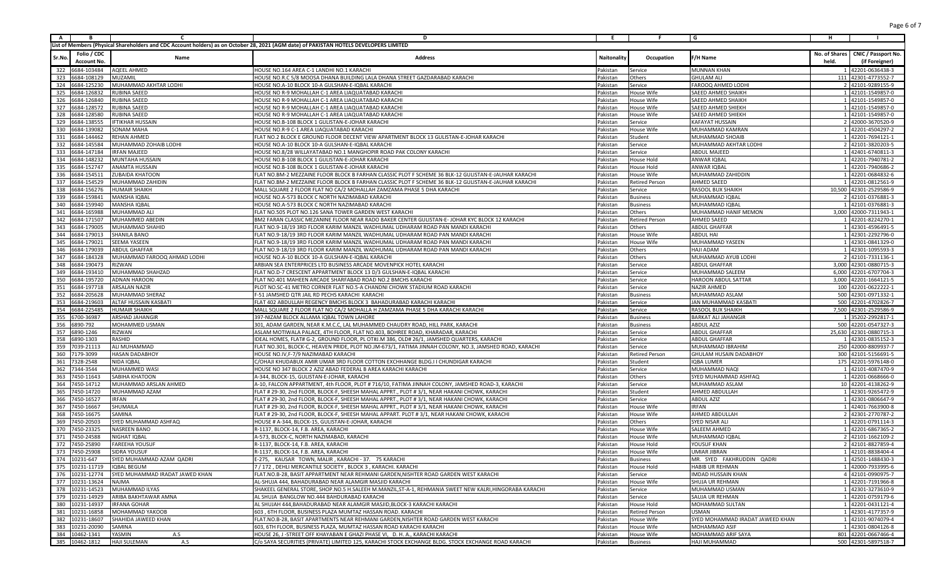| <b>A</b> | B                           | $\mathbf{r}$                    | D                                                                                                                                       | Ε.          | . F                   | G                                | н                                           |
|----------|-----------------------------|---------------------------------|-----------------------------------------------------------------------------------------------------------------------------------------|-------------|-----------------------|----------------------------------|---------------------------------------------|
|          |                             |                                 | List of Members (Physical Shareholders and CDC Account holders) as on October 28, 2021 (AGM date) of PAKISTAN HOTELS DEVELOPERS LIMITED |             |                       |                                  |                                             |
|          | Folio / CDC                 |                                 |                                                                                                                                         |             |                       |                                  | No. of Shares<br><b>CNIC / Passport No.</b> |
| Sr.No    | Account No.                 | Name                            | <b>Address</b>                                                                                                                          | Naitonality | Occupation            | -/H Name                         | held.<br>(if Foreigner)                     |
| 322      | 6684-103484                 | <b>AQEEL AHMED</b>              | HOUSE NO.164 AREA C-1 LANDHI NO.1 KARACHI                                                                                               | Pakistan    | Service               | <b>MUNNAN KHAN</b>               | 1 42201-0636438-3                           |
| 323      | 6684-108129                 | MUZAMIL                         | HOUSE NO.R.C 5/8 MOOSA DHANA BUILDING LALA DHANA STREET GAZDARABAD KARACHI                                                              | Pakistan    | Others                | GHULAM ALI                       | 111 42301-4773552-7                         |
| 324      | 6684-125230                 | MUHAMMAD AKHTAR LODHI           | HOUSE NO.A-10 BLOCK 10-A GULSHAN-E-IQBAL KARACH                                                                                         | Pakistan    | Service               | FAROOQ AHMED LODH                | 2 42101-9289155-9                           |
| 325      | 6684-126832                 | RUBINA SAEED                    | HOUSE NO R-9 MOHALLAH C-1 AREA LIAQUATABAD KARACHI                                                                                      | Pakistan    | House Wife            | <b>SAEED AHMED SHAIKH</b>        | 1 42101-1549857-0                           |
| 326      | 6684-126840                 | RUBINA SAEED                    | HOUSE NO R-9 MOHALLAH C-1 AREA LIAQUATABAD KARACHI                                                                                      | Pakistan    | House Wife            | SAEED AHMED SHAIKH               | 1 42101-1549857-0                           |
| 327      | 6684-128572                 | RUBINA SAEED                    | HOUSE NO R-9 MOHALLAH C-1 AREA LIAQUATABAD KARACHI                                                                                      | Pakistan    | House Wife            | SAEED AHMED SHIEKH               | 1 42101-1549857-0                           |
| 328      | 6684-128580                 | RUBINA SAEED                    | HOUSE NO R-9 MOHALLAH C-1 AREA LIAQUATABAD KARACHI                                                                                      | Pakistan    | House Wife            | SAEED AHMED SHIEKH               | 1 42101-1549857-0                           |
| 329      | 6684-138555                 | <b>IFTIKHAR HUSSAIN</b>         | HOUSE NO.B-108 BLOCK 1 GULISTAN-E-JOHAR KARACHI                                                                                         | Pakistan    | Service               | <b>KAFAYAT HUSSAIN</b>           | 2 42000-3670520-9                           |
| 330      | 6684-139082                 | SONAM MAHA                      | HOUSE NO.R-9 C-1 AREA LIAQUATABAD KARACHI                                                                                               | Pakistan    | House Wife            | MUHAMMAD KAMRAN                  | 1 42201-4504297-2                           |
| 331      | 6684-144462                 | REHAN AHMED                     | FLAT NO.2 BLOCK E GROUND FLOOR DECENT VIEW APARTMENT BLOCK 13 GULISTAN-E-JOHAR KARACHI                                                  | Pakistan    | Student               | MUHAMMAD SHOAIB                  | 1 42201-7694121-3                           |
| 332      | 6684-145584                 | MUHAMMAD ZOHAIB LODHI           | HOUSE NO.A-10 BLOCK 10-A GULSHAN-E-IQBAL KARACHI                                                                                        | Pakistan    | Service               | MUHAMMAD AKHTAR LODHI            | 2 42101-3820203-5                           |
| 333      | 6684-147184                 | <b>IRFAN MAJEED</b>             | HOUSE NO.8/28 WILLAYATABAD NO.1 MANGHOPIR ROAD PAK COLONY KARACHI                                                                       | Pakistan    | Service               | <b>ABDUL MAJEED</b>              | 1 42401-6740811-3                           |
| 334      | 6684-148232                 | MUNTAHA HUSSAIN                 | HOUSE NO.B-108 BLOCK 1 GULISTAN-E-JOHAR KARACHI                                                                                         | Pakistan    | House Hold            | ANWAR IQBAL                      | 1 42201-7940781-2                           |
| 335      | 6684-152747                 | ANAMTA HUSSAIN                  | HOUSE NO.B-108 BLOCK 1 GULISTAN-E-JOHAR KARACHI                                                                                         | Pakistan    | House Hold            | ANWAR IQBAL                      | 1 42201-7940686-2                           |
| 336      | 6684-154511                 | ZUBAIDA KHATOON                 | FLAT NO.BM-2 MEZZAINE FLOOR BLOCK B FARHAN CLASSIC PLOT F SCHEME 36 BLK-12 GULISTAN-E-JAUHAR KARACHI                                    | Pakistan    | House Wife            | MUHAMMAD ZAHIDDIN                | 1 42201-0684832-6                           |
| 337      | 684-154529                  | MUHAMMAD ZAHIDIN                | FLAT NO.BM-2 MEZZAINE FLOOR BLOCK B FARHAN CLASSIC PLOT F SCHEME 36 BLK-12 GULISTAN-E-JAUHAR KARACHI                                    | Pakistan    | Retired Person        | AHMED SAEED                      | 1 42201-0812561-9                           |
| 338      | 6684-156276                 | HUMAIR SHAIKH                   | MALL SQUARE 2 FLOOR FLAT NO CA/2 MOHALLAH ZAMZAMA PHASE 5 DHA KARACHI                                                                   | Pakistan    | Service               | RASOOL BUX SHAIKH                | 10,500 42301-2529586-9                      |
| 339      | 6684-159841                 | MANSHA IQBAL                    | HOUSE NO.A-573 BLOCK C NORTH NAZIMABAD KARACHI                                                                                          | Pakistan    | Business              | MUHAMMAD IQBAL                   | 2 42101-0376881-3                           |
| 340      | 684-159940                  | MANSHA IQBAL                    | HOUSE NO.A-573 BLOCK C NORTH NAZIMABAD KARACH                                                                                           | Pakistan    | Business              | MUHAMMAD IQBAL                   | 1 42101-0376881-3                           |
| 341      | 6684-165988                 | MUHAMMAD AL                     | FLAT NO.505 PLOT NO.126 SANA TOWER GARDEN WEST KARACHI                                                                                  | Pakistan    | Others                | MUHAMMAD HANIF MEMON             | 3,000 42000-7311943-1                       |
| 342      | 6684-171507                 | MUHAMMED ABEDIN                 | BM2 FARAN CLASSIC MEZANINE FLOOR NEAR RADO BAKER CENTER GULISTAN-E- JOHAR KYC BLOCK 12 KARACHI                                          | Pakistan    | Retired Person        | AHMED SAEED                      | 1 42201-8224270-1                           |
| 343      | 684-179005                  | MUHAMMAD SHAHID                 | FLAT NO.9-18/19 3RD FLOOR KARIM MANZIL WADHUMAL UDHARAM ROAD PAN MANDI KARACH                                                           | Pakistan    | Others                | <b>ABDUL GHAFFAR</b>             | 1 42301-4596491-5                           |
| 344      | 6684-179013                 | SHANILA BANO                    | FLAT NO.9-18/19 3RD FLOOR KARIM MANZIL WADHUMAL UDHARAM ROAD PAN MANDI KARACHI                                                          | Pakistan    | House Wife            | <b>ABDUL HAI</b>                 | 1 42301-2292796-0                           |
| 345      | 6684-179021                 | SEEMA YASEEN                    | FLAT NO.9-18/19 3RD FLOOR KARIM MANZIL WADHUMAL UDHARAM ROAD PAN MANDI KARACHI                                                          | Pakistan    | House Wife            | MUHAMMAD YASEEN                  | 1 42301-0841329-0                           |
| 346      | 6684-179039                 | <b>ABDUL GHAFFAR</b>            | FLAT NO.9-18/19 3RD FLOOR KARIM MANZIL WADHUMAL UDHARAM ROAD PAN MANDI KARACHI                                                          | Pakistan    | Others                | <b>HAJI ADAM</b>                 | 1 42301-1095593-3                           |
| 347      | 6684-184328                 | MUHAMMAD FAROOQ AHMAD LODHI     | HOUSE NO.A-10 BLOCK 10-A GULSHAN-E-IQBAL KARACH                                                                                         | Pakistan    | Others                | MUHAMMAD AYUB LODHI              | 2 42101-7331136-1                           |
| 348      | 6684-190473                 | RIZWAN                          | ARBIAN SEA ENTERPRICES LTD BUSINESS ARCADE MOVENPICK HOTEL KARACHI                                                                      | Pakistan    | Service               | <b>ABDUL GHAFFAR</b>             | 3,000 42301-0880715-3                       |
| 349      | 6684-193410                 | MUHAMMAD SHAHZAD                | FLAT NO.D-7 CRESCENT APPARTMENT BLOCK 13 D/3 GULSHAN-E-IQBAL KARACHI                                                                    | Pakistan    | Service               | MUHAMMAD SALEEM                  | 6,000 42201-6707704-3                       |
| 350      | 6684-195720                 | <b>ADNAN HAROON</b>             | FLAT NO.401 MAHEEN ARCADE SHARFABAD ROAD NO.2 BMCHS KARACHI                                                                             | Pakistan    | Service               | <b>HAROON ABDUL SATTAR</b>       | 3,000 42201-1664121-5                       |
| 351      | 6684-197718                 | ARSALAN NAZIR                   | PLOT NO.SC-41 METRO CORNER FLAT NO.5-A CHANDNI CHOWK STADIUM ROAD KARACHI                                                               | Pakistan    | Service               | <b>NAZIR AHMED</b>               | 100 42201-0622222-1                         |
| 352      | 684-205628                  | MUHAMMAD SHERAZ                 | --51 JAMSHED QTR JAIL RD PECHS KARACHI KARACHI                                                                                          | Pakistan    | Business              | MUHAMMAD ASLAM                   | 500 42301-0971332-1                         |
| 353      | 6684-219603                 | ALTAF HUSSAIN KASBATI           | FLAT 402 ABDULLAH REGENCY BMCHS BLOCK 3 BAHADURABAD KARACHI KARACHI                                                                     | Pakistan    | Service               | JAN MUHAMMAD KASBATI             | 500 42201-4702826-7                         |
| 354      | 6684-225485                 | <b>HUMAIR SHAIKH</b>            | MALL SQUARE 2 FLOOR FLAT NO CA/2 MOHALLA H ZAMZAMA PHASE 5 DHA KARACHI KARACHI                                                          | Pakistan    | Service               | <b>RASOOL BUX SHAIKH</b>         | 7,500 42301-2529586-9                       |
| 355      | 6700-36987                  | ARSHAD JAHANGIR                 | 397-NIZAM BLOCK ALLAMA IQBAL TOWN LAHORE                                                                                                | Pakistan    | Business              | <b>BARKAT ALI JAHANGIF</b>       | 1 35202-2992817-1                           |
| 356      | 6890-792                    | MOHAMMED USMAN                  | 301, ADAM GARDEN, NEAR K.M.C.C, LAL MUHAMMED CHAUDRY ROAD, HILL PARK, KARACHI                                                           | Pakistan    | Business              | <b>ABDUL AZIZ</b>                | 500 42201-0547327-3                         |
| 357      | 6890-1246                   | RIZWAN                          | ASLAM MOTIWALA PALACE, 4TH FLOOR, FLAT NO.403, BOHREE ROAD, KHARADAR, KARACHI                                                           | Pakistan    | Service               | <b>ABDUL GHAFFAR</b>             | 25,630 42301-0880715-3                      |
| 358      | 6890-1303                   | RASHID                          | IDEAL HOMES, FLAT# G-2, GROUND FLOOR, PL OT#J.M 386, OLD# 26/1, JAMSHED QUARTERS, KARACHI                                               | Pakistan    | Service               | <b>ABDUL GHAFFAR</b>             | 1 42301-0835152-3                           |
| 359      | 039-2111                    | ALI MUHAMMAD                    | FLAT NO.301, BLOCK-C, HEAVEN PRIDE, PLOT NO.JM-673/1, FATIMA JINNAH COLONY, NO.3, JAMSHED ROAD, KARACHI                                 | Pakistan    | Service               | MUHAMMAD IBRAHIM                 | 250 42000-8809937-7                         |
| 360      | 7179-3099                   | HASAN DADABHOY                  | HOUSE NO.IV, F-7/9 NAZIMABAD KARACHI                                                                                                    | Pakistan    | Retired Person        | GHULAM HUSAIN DADABHOY           | 300 42101-5156691-5                         |
| 361      | 7328-2548                   | NIDA IQBAL                      | C/OHAJI KHUDABUX AMIR UMAR 3RD FLOOR COTTON EXCHHANGE BLDG.I I CHUNDIGAR KARACHI                                                        | Pakistan    | Student               | IQBA LUMER                       | 175 42201-5976148-0                         |
| 362      | 7344-3544                   | MUHAMMED WASI                   | HOUSE NO 347 BLOCK 2 AZIZ ABAD FEDERAL B AREA KARACHI KARACHI                                                                           | Pakistan    | Service               | MUHAMMAD NAQI                    | 1 42101-4087470-9                           |
| 363      | 7450-11643                  | SABIHA KHATOON                  | A-344, BLOCK-15, GULISTAN-E-JOHAR, KARACHI                                                                                              | Pakistan    | Others                | SYED MUHAMMAD ASHFAQ             | 1 42201-0668666-0                           |
|          | 364 7450-14712              | MUHAMMAD ARSLAN AHMED           | A-10, FALCON APPARTMENT, 4th FLOOR, PLOT # 716/10, FATIMA JINNAH COLONY, JAMSHED ROAD-3, KARACHI                                        | Pakistan    | Service               | MUHAMMAD ASLAM                   | 10 42201-4138262-9                          |
| 365      | 7450-14720                  | MUHAMMAD AZAM                   | FLAT # 29-30, 2nd FLOOR, BLOCK-F, SHEESH MAHAL APPRT., PLOT # 3/1, NEAR HAKANI CHOWK, KARACH                                            | Pakistan    | Student               | AHMED ABDULLAH                   | 1 42301-9265472-9                           |
| 366      | 7450-16527                  | IRFAN                           | FLAT # 29-30, 2nd FLOOR, BLOCK-F, SHEESH MAHAL APPRT., PLOT # 3/1, NEAR HAKANI CHOWK, KARACH                                            | Pakistan    | Service               | <b>ABDUL AZIZ</b>                | 1 42301-0806647-9                           |
| 367      | 7450-16667                  | SHUMAILA                        | FLAT # 29-30, 2nd FLOOR, BLOCK-F, SHEESH MAHAL APPRT., PLOT # 3/1, NEAR HAKANI CHOWK, KARACH                                            | Pakistan    | House Wife            | IRFAN                            | 1 42401-7663900-8                           |
| 368      | 7450-16675                  | SAMINA                          | FLAT # 29-30, 2nd FLOOR, BLOCK-F, SHEESH MAHAL APPART. PLOT # 3/1, NEAR HAKANI CHOWK, KARACHI                                           | Pakistan    | House Wife            | AHMED ABDULLAH                   | 2 42301-2770787-2                           |
| 369      | 7450-20503                  | SYED MUHAMMAD ASHFAQ            | HOUSE # A-344, BLOCK-15, GULISTAN-E-JOHAR, KARACHI                                                                                      | Pakistan    | Others                | SYED NISAR ALI                   | 1 42201-0791114-3                           |
| 370      | 7450-23325                  | NASREEN BANO                    | R-1137, BLOCK-14, F.B. AREA, KARACHI                                                                                                    | Pakistan    | House Wife            | SALEEM AHMED                     | 1 42201-6867365-2                           |
| 371      | 7450-24588                  | NIGHAT IOBAL                    | A-573, BLOCK-C, NORTH NAZIMABAD, KARACHI                                                                                                | Pakistan    | House Wife            | MUHAMMAD IQBAL                   | 2 42101-1662109-2                           |
| 372      | 7450-25890                  | <b>FAREEHA YOUSUF</b>           | R-1137, BLOCK-14, F.B. AREA, KARACH                                                                                                     | Pakistan    | House Hold            | YOUSUF KHAN                      | 2 42101-8827859-4                           |
|          | 373 7450-25908              | <b>SIDRA YOUSUF</b>             | R-1137, BLOCK-14, F.B. AREA, KARACHI                                                                                                    | Pakistan    | <b>House Wife</b>     | UMIAR JIBRAN                     | 1 42101-8838404-4                           |
|          | 374 10231-647               | SYED MUHAMMAD AZAM QADRI        | E-275, KAUSAR TOWN, MALIR, KARACHI - 37. 75 KARACHI                                                                                     | Pakistan    | <b>Business</b>       | MR. SYED FAKHRUDDIN QADRI        | 1 42501-1488430-3                           |
|          | 375 10231-11719 IQBAL BEGUM |                                 | 7 / 172, DEHLI MERCANTILE SOCIETY, BLOCK 3, KARACHI. KARACHI                                                                            | Pakistan    | House Hold            | HABIB UR REHMAN                  | 1 42000-7933995-6                           |
|          | 376 10231-12774             | SYED MUHAMMAD IRADAT JAWED KHAN | FLAT.NO.B-28, BASIT APPARTMENT NEAR REHMANI GARDEN, NISHTER ROAD GARDEN WEST KARACHI                                                    | Pakistan    | Service               | IMDAD HUSSAIN KHAN               | 4 42101-0990975-7                           |
|          | 377 10231-13624             | NAJMA                           | AL-SHUJA 444, BAHADURABAD NEAR ALAMGIR MASJID KARACHI                                                                                   | Pakistan    | House Wife            | SHUJA UR REHMAN                  | 1 42201-7191966-8                           |
|          | 378 10231-14523             | MUHAMMAD ILYAS                  | SHAKEEL GENERAL STORE, SHOP.NO.5 H.SALEEH M.MANZIL,ST-A-1, REHMANIA SWEET NEW KALRI,HINGORABA KARACHI                                   | Pakistan    | Service               | MUHAMMAD USMAN                   | 1 42301-3273610-9                           |
|          | 379 10231-14929             | ARIBA BAKHTAWAR AMNA            | AL SHUJA BANGLOW NO.444 BAHDURABAD KARACHI                                                                                              | Pakistan    | Service               | SAUJA UR REHMAN                  | 1 42201-0759179-6                           |
|          | 380 10231-14937             | <b>IRFANA GOHAR</b>             | AL SHUJAH 444, BAHADURABAD NEAR ALAMGIR MASJID, BLOCK-3 KARACHI KARACHI                                                                 | Pakistan    | House Hold            | MOHAMMAD SULTAN                  | 1 42201-0431121-4                           |
|          | 381 10231-16858             | MOHAMMAD YAKOOB                 | 603, 6TH FLOOR, BUSINESS PLAZA MUMTAZ HASSAN ROAD. KARACHI                                                                              | Pakistan    | <b>Retired Person</b> | USMAN                            | 1 42301-4177357-9                           |
|          | 382 10231-18607             | SHAHIDA JAWEED KHAN             | FLAT.NO.B-28, BASIT APARTMENTS NEAR REHMANI GARDEN, NISHTER ROAD GARDEN WEST KARACHI                                                    | Pakistan    | House Wife            | SYED MOHAMMAD IRADAT JAWEED KHAN | 1 42101-9074079-4                           |
|          | 383 10231-20090             | SAMINA                          | 603. 6TH FLOOR. BUSINESS PLAZA. MUMTAZ HASSAN ROAD KARACHI KARACHI                                                                      | Pakistan    | House Wife            | <b>MOHAMMAD ASIF</b>             | 1 42301-0804126-8                           |
|          | 384 10462-1341              | YASMIN<br>A.S                   | HOUSE 26, J-STREET OFF KHAYABAN E GHAZI PHASE VI, D. H. A., KARACHI KARACHI                                                             | Pakistan    | House Wife            | MOHAMMAD ARIF SAYA               | 801 42201-0667466-4                         |
|          | 385 10462-1812              | <b>HAJI SULEMAN</b><br>A.S      | C/o SAYA SECURITIES (PRIVATE) LIMITED 125, KARACHI STOCK EXCHANGE BLDG. STOCK EXCHANGE ROAD KARACHI                                     | Pakistan    | <b>Business</b>       | HAJI MUHAMMAD                    | 500 42301-5897518-7                         |